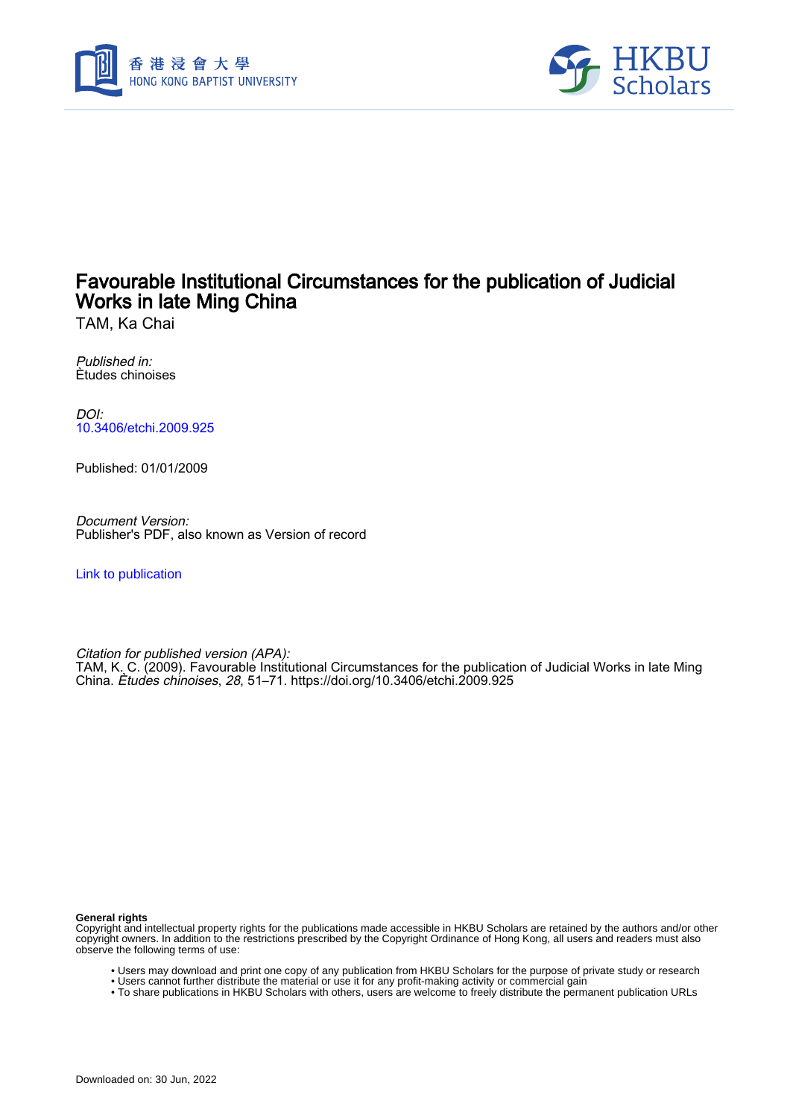



TAM, Ka Chai

Published in: Ètudes chinoises

DOI: [10.3406/etchi.2009.925](https://doi.org/10.3406/etchi.2009.925)

Published: 01/01/2009

Document Version: Publisher's PDF, also known as Version of record

[Link to publication](https://scholars.hkbu.edu.hk/en/publications/f13d073a-5a7e-4556-9baf-a998385b4e2d)

Citation for published version (APA):

TAM, K. C. (2009). Favourable Institutional Circumstances for the publication of Judicial Works in late Ming China. Ètudes chinoises, 28, 51–71.<https://doi.org/10.3406/etchi.2009.925>

**General rights**

Copyright and intellectual property rights for the publications made accessible in HKBU Scholars are retained by the authors and/or other copyright owners. In addition to the restrictions prescribed by the Copyright Ordinance of Hong Kong, all users and readers must also observe the following terms of use:

- Users may download and print one copy of any publication from HKBU Scholars for the purpose of private study or research
- Users cannot further distribute the material or use it for any profit-making activity or commercial gain
- To share publications in HKBU Scholars with others, users are welcome to freely distribute the permanent publication URLs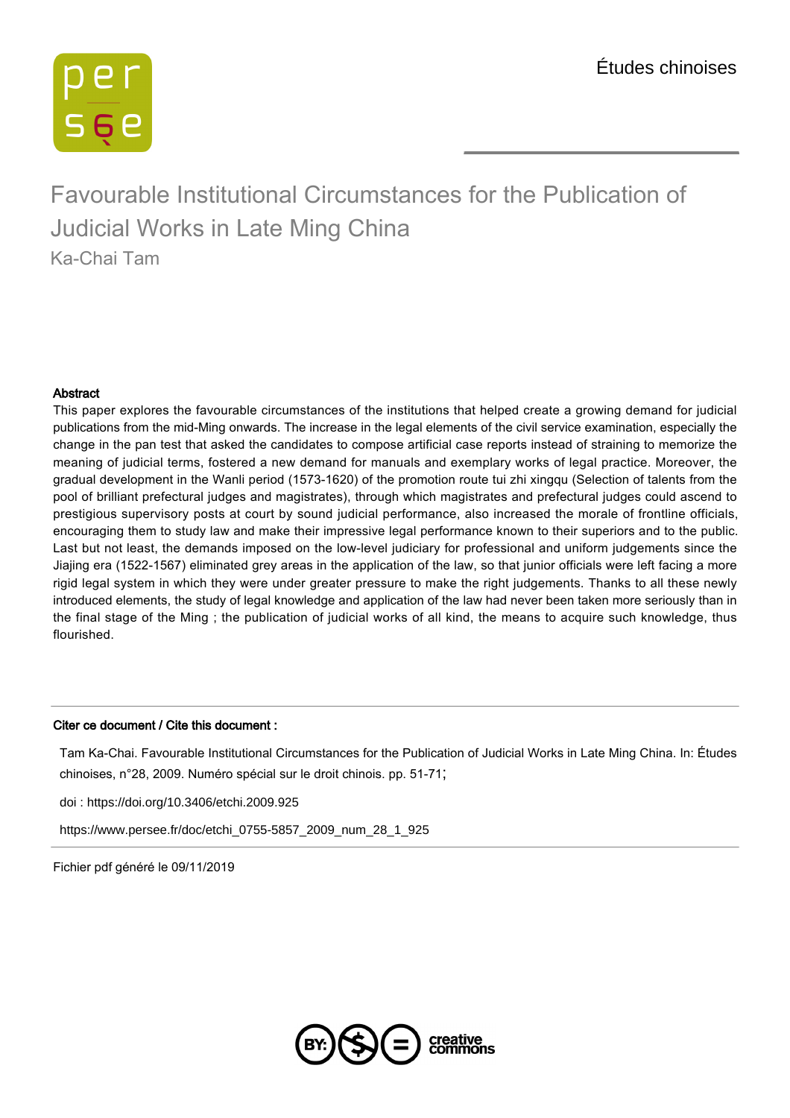

#### Abstract

This paper explores the favourable circumstances of the institutions that helped create a growing demand for judicial publications from the mid-Ming onwards. The increase in the legal elements of the civil service examination, especially the change in the pan test that asked the candidates to compose artificial case reports instead of straining to memorize the meaning of judicial terms, fostered a new demand for manuals and exemplary works of legal practice. Moreover, the gradual development in the Wanli period (1573-1620) of the promotion route tui zhi xingqu (Selection of talents from the pool of brilliant prefectural judges and magistrates), through which magistrates and prefectural judges could ascend to prestigious supervisory posts at court by sound judicial performance, also increased the morale of frontline officials, encouraging them to study law and make their impressive legal performance known to their superiors and to the public. Last but not least, the demands imposed on the low-level judiciary for professional and uniform judgements since the Jiajing era (1522-1567) eliminated grey areas in the application of the law, so that junior officials were left facing a more rigid legal system in which they were under greater pressure to make the right judgements. Thanks to all these newly introduced elements, the study of legal knowledge and application of the law had never been taken more seriously than in the final stage of the Ming ; the publication of judicial works of all kind, the means to acquire such knowledge, thus flourished.

#### Citer ce document / Cite this document :

Tam Ka-Chai. Favourable Institutional Circumstances for the Publication of Judicial Works in Late Ming China. In: Études chinoises, n°28, 2009. Numéro spécial sur le droit chinois. pp. 51-71;

[doi : https://doi.org/10.3406/etchi.2009.925](https://doi.org/10.3406/etchi.2009.925)

[https://www.persee.fr/doc/etchi\\_0755-5857\\_2009\\_num\\_28\\_1\\_925](https://www.persee.fr/doc/etchi_0755-5857_2009_num_28_1_925)

Fichier pdf généré le 09/11/2019

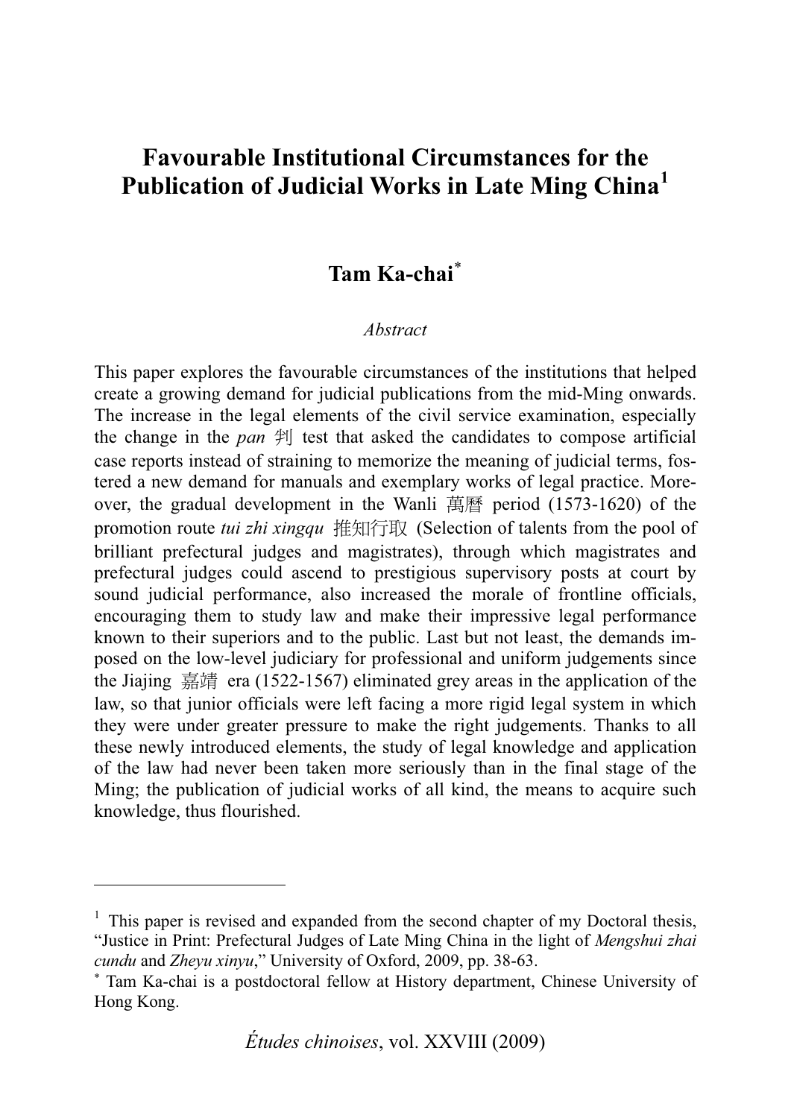### **Favourable Institutional Circumstances for the Favourable Institutional Circumstances for the Publication of Judicial Works in Late Ming China<sup>1</sup>**

### **Tam Ka-chai**

#### *Abstract*

This paper explores the favourable circumstances of the institutions that helped create a growing demand for judicial publications from the mid-Ming onwards. The increase in the legal elements of the civil service examination, especially the change in the *pan*  $\mathcal{F}$  test that asked the candidates to compose artificial case reports instead of straining to memorize the meaning of judicial terms, fostered a new demand for manuals and exemplary works of legal practice. Moreover, the gradual development in the Wanli 萬曆 period  $(1573-1620)$  of the promotion route *tui zhi xingqu* 推知行取 (Selection of talents from the pool of brilliant prefectural judges and magistrates), through which magistrates and prefectural judges could ascend to prestigious supervisory posts at court by sound judicial performance, also increased the morale of frontline officials, encouraging them to study law and make their impressive legal performance known to their superiors and to the public. Last but not least, the demands imposed on the low-level judiciary for professional and uniform judgements since the Jiajing 嘉靖 era (1522-1567) eliminated grey areas in the application of the law, so that junior officials were left facing a more rigid legal system in which they were under greater pressure to make the right judgements. Thanks to all these newly introduced elements, the study of legal knowledge and application of the law had never been taken more seriously than in the final stage of the Ming; the publication of judicial works of all kind, the means to acquire such knowledge, thus flourished.

<sup>&</sup>lt;sup>1</sup> This paper is revised and expanded from the second chapter of my Doctoral thesis, "Justice in Print: Prefectural Judges of Late Ming China in the light of *Mengshui zhai cundu* and *Zheyu xinyu*," University of Oxford, 2009, pp. 38-63.

Tam Ka-chai is a postdoctoral fellow at History department, Chinese University of Hong Kong.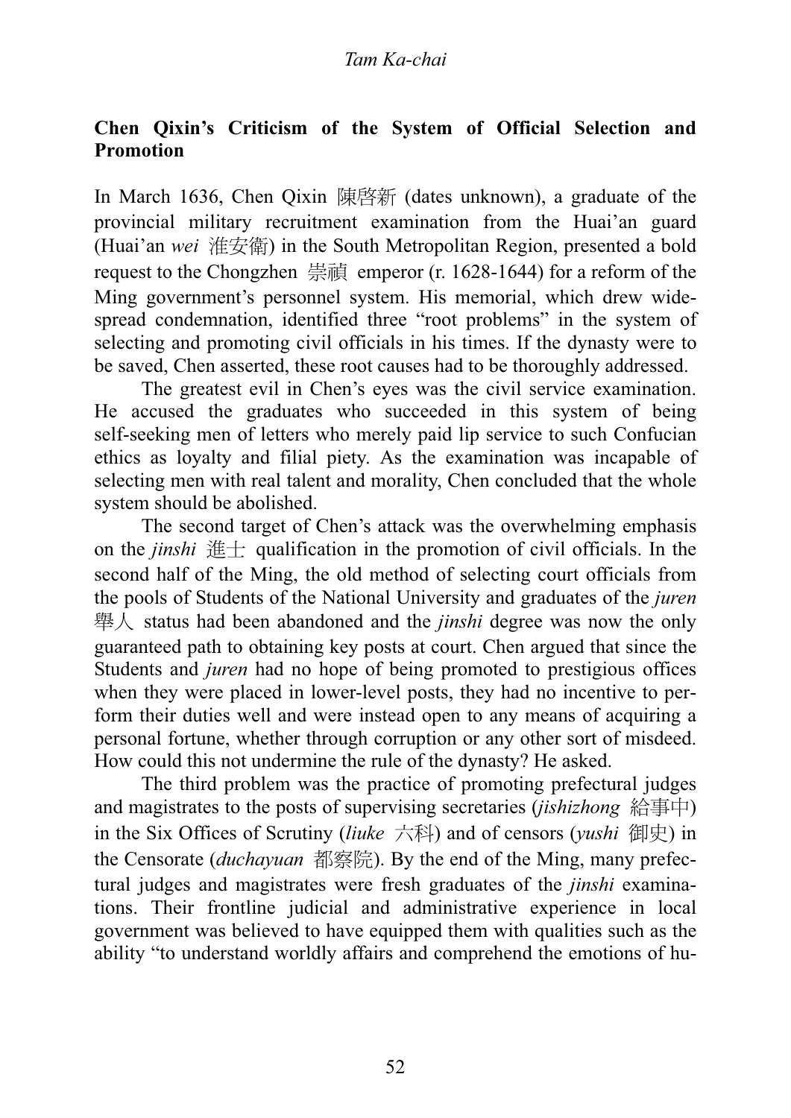## **Chen Qixin's Criticism of the System of Official Selection and Promotion**

In March 1636, Chen Qixin  $\mathbb{R}$   $\mathbb{R}$  and  $\mathbb{R}$  (dates unknown), a graduate of the provincial military recruitment examination from the Huai'an guard (Huai'an *wei* ڜᓡ) in the South Metropolitan Region, presented a bold request to the Chongzhen  $\frac{12}{3}$  emperor (r. 1628-1644) for a reform of the Ming government's personnel system. His memorial, which drew widespread condemnation, identified three "root problems" in the system of selecting and promoting civil officials in his times. If the dynasty were to be saved, Chen asserted, these root causes had to be thoroughly addressed.

The greatest evil in Chen's eyes was the civil service examination. He accused the graduates who succeeded in this system of being self-seeking men of letters who merely paid lip service to such Confucian ethics as loyalty and filial piety. As the examination was incapable of selecting men with real talent and morality, Chen concluded that the whole system should be abolished.

The second target of Chen's attack was the overwhelming emphasis on the *jinshi*  $\#$  qualification in the promotion of civil officials. In the second half of the Ming, the old method of selecting court officials from the pools of Students of the National University and graduates of the *juren* ᜰԳ status had been abandoned and the *jinshi* degree was now the only guaranteed path to obtaining key posts at court. Chen argued that since the Students and *juren* had no hope of being promoted to prestigious offices when they were placed in lower-level posts, they had no incentive to perform their duties well and were instead open to any means of acquiring a personal fortune, whether through corruption or any other sort of misdeed. How could this not undermine the rule of the dynasty? He asked.

The third problem was the practice of promoting prefectural judges and magistrates to the posts of supervising secretaries (*jishizhong* 給事中) in the Six Offices of Scrutiny (*liuke* 六科) and of censors (*yushi* 御史) in the Censorate (*duchayuan* 都察院). By the end of the Ming, many prefectural judges and magistrates were fresh graduates of the *jinshi* examinations. Their frontline judicial and administrative experience in local government was believed to have equipped them with qualities such as the ability "to understand worldly affairs and comprehend the emotions of hu-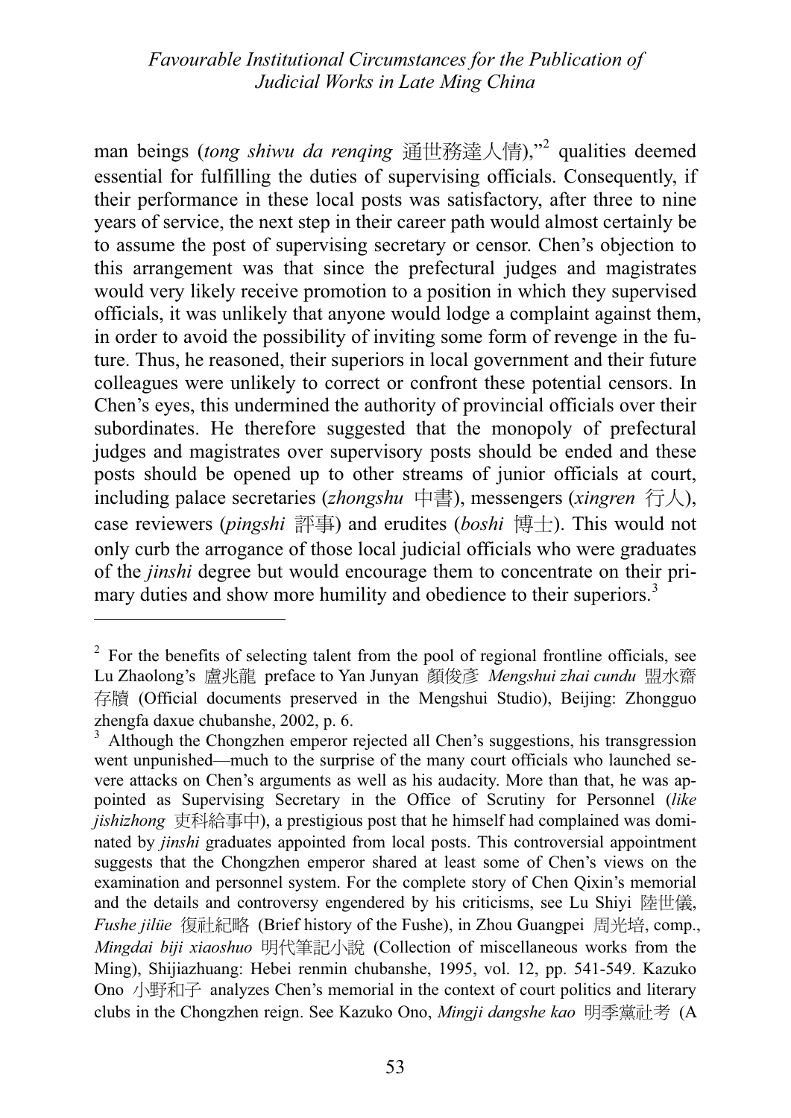man beings (*tong shiwu da renqing* 通世務達人情),"<sup>2</sup> qualities deemed<br>essential for fulfilling the duties of supervising officials. Consequently, if essential for fulfilling the duties of supervising officials. Consequently, if their performance in these local posts was satisfactory, after three to nine years of service, the next step in their career path would almost certainly be to assume the post of supervising secretary or censor. Chen's objection to this arrangement was that since the prefectural judges and magistrates would very likely receive promotion to a position in which they supervised officials, it was unlikely that anyone would lodge a complaint against them, in order to avoid the possibility of inviting some form of revenge in the future. Thus, he reasoned, their superiors in local government and their future colleagues were unlikely to correct or confront these potential censors. In Chen's eyes, this undermined the authority of provincial officials over their subordinates. He therefore suggested that the monopoly of prefectural judges and magistrates over supervisory posts should be ended and these posts should be opened up to other streams of junior officials at court, including palace secretaries (*zhongshu* 中書), messengers (*xingren* 行人), case reviewers (*pingshi* 評事) and erudites (*boshi* 博士). This would not only curb the arrogance of those local judicial officials who were graduates of the *jinshi* degree but would encourage them to concentrate on their primary duties and show more humility and obedience to their superiors.<sup>3</sup>

 $2^2$  For the benefits of selecting talent from the pool of regional frontline officials, see Lu Zhaolong's 盧兆龍 preface to Yan Junyan 顏俊彥 Mengshui zhai cundu 盟水齋 存牘 (Official documents preserved in the Mengshui Studio), Beijing: Zhongguo zhengfa daxue chubanshe, 2002, p. 6.

<sup>&</sup>lt;sup>3</sup> Although the Chongzhen emperor rejected all Chen's suggestions, his transgression went unpunished—much to the surprise of the many court officials who launched severe attacks on Chen's arguments as well as his audacity. More than that, he was appointed as Supervising Secretary in the Office of Scrutiny for Personnel (*like jishizhong* 吏科給事中), a prestigious post that he himself had complained was dominated by *jinshi* graduates appointed from local posts. This controversial appointment suggests that the Chongzhen emperor shared at least some of Chen's views on the examination and personnel system. For the complete story of Chen Qixin's memorial and the details and controversy engendered by his criticisms, see Lu Shiyi 陸世儀, *Fushe jilüe* 復社紀略 (Brief history of the Fushe), in Zhou Guangpei 周光培, comp., *Mingdai biji xiaoshuo* 明代筆記小說 (Collection of miscellaneous works from the Ming), Shijiazhuang: Hebei renmin chubanshe, 1995, vol. 12, pp. 541-549. Kazuko Ono 小野和子 analyzes Chen's memorial in the context of court politics and literary clubs in the Chongzhen reign. See Kazuko Ono, *Mingji dangshe kao* 明季黨計考 (A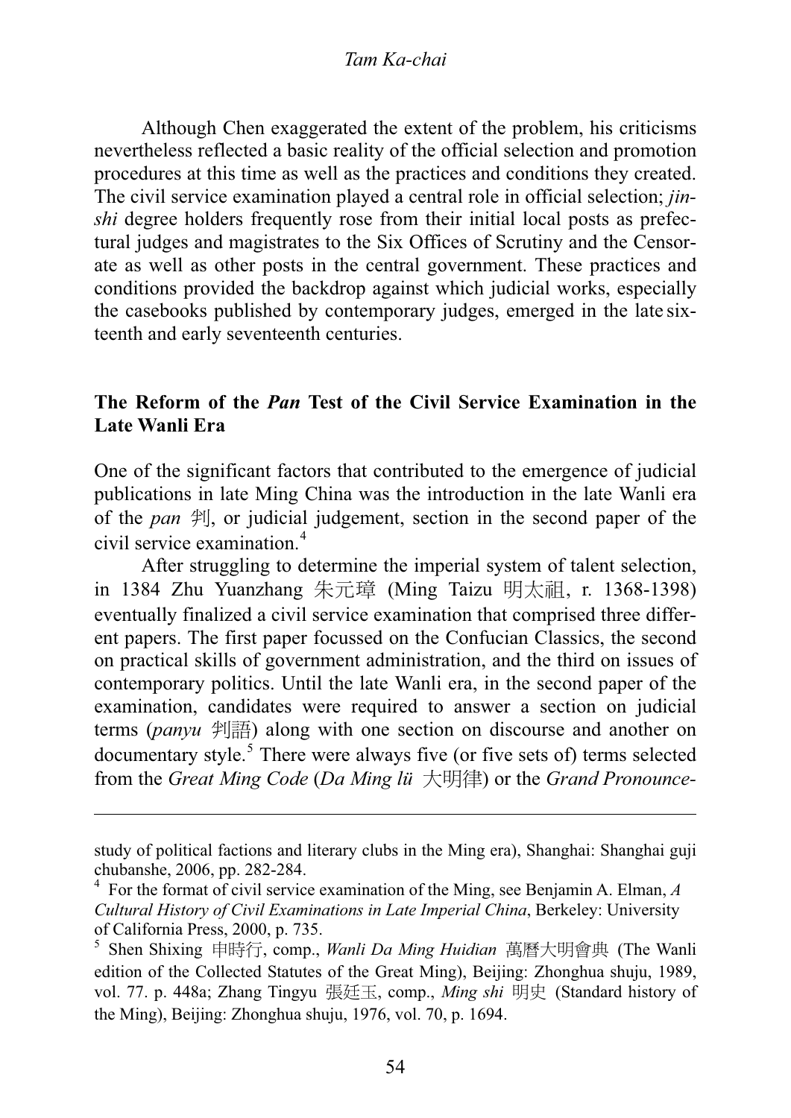Although Chen exaggerated the extent of the problem, his criticisms nevertheless reflected a basic reality of the official selection and promotion procedures at this time as well as the practices and conditions they created. The civil service examination played a central role in official selection; *jinshi* degree holders frequently rose from their initial local posts as prefectural judges and magistrates to the Six Offices of Scrutiny and the Censorate as well as other posts in the central government. These practices and conditions provided the backdrop against which judicial works, especially the casebooks published by contemporary judges, emerged in the late sixteenth and early seventeenth centuries.

## **The Reform of the** *Pan* **Test of the Civil Service Examination in the Late Wanli Era**

One of the significant factors that contributed to the emergence of judicial publications in late Ming China was the introduction in the late Wanli era of the *pan*  $\mathcal{F}$ . or judicial judgement, section in the second paper of the civil service examination.<sup>4</sup>

After struggling to determine the imperial system of talent selection, in 1384 Zhu Yuanzhang 朱元璋 (Ming Taizu 明太祖, r. 1368-1398) eventually finalized a civil service examination that comprised three different papers. The first paper focussed on the Confucian Classics, the second on practical skills of government administration, and the third on issues of contemporary politics. Until the late Wanli era, in the second paper of the examination, candidates were required to answer a section on judicial terms (*panyu* 判語) along with one section on discourse and another on documentary style. $5$  There were always five (or five sets of) terms selected from the *Great Ming Code (Da Ming lü 大*明律) or the *Grand Pronounce*-

study of political factions and literary clubs in the Ming era), Shanghai: Shanghai guji chubanshe, 2006, pp. 282-284.

<sup>&</sup>lt;sup>4</sup> For the format of civil service examination of the Ming, see Benjamin A. Elman, *A* Cultural History of Civil Examinations in Late Imperial China, Berkeley: University *Cultural History of Civil Examinations in Late Imperial China*, Berkeley: University of California Press, 2000, p. 735.

<sup>&</sup>lt;sup>5</sup> Shen Shixing 申時行, comp., *Wanli Da Ming Huidian* 萬曆大明會典 (The Wanli edition of the Collected Statutes of the Great Ming). Beijing: Zhonghua shuju. 1989. edition of the Collected Statutes of the Great Ming), Beijing: Zhonghua shuju, 1989, vol. 77. p. 448a; Zhang Tingyu 張廷玉, comp., Ming shi 明史 (Standard history of the Ming), Beijing: Zhonghua shuju, 1976, vol. 70, p. 1694.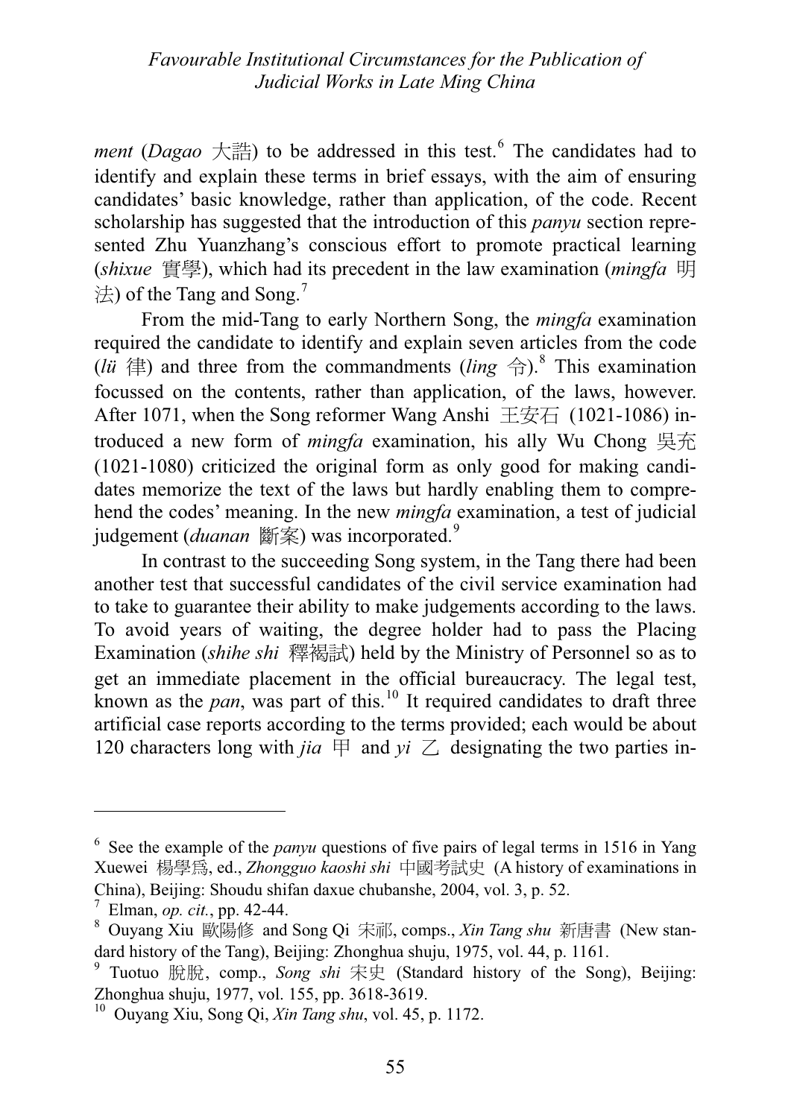*ment* (*Dagao*  $+\frac{1}{100}$ ) to be addressed in this test.<sup>6</sup> The candidates had to identify and explain these terms in brief essays, with the aim of ensuring identify and explain these terms in brief essays, with the aim of ensuring candidates' basic knowledge, rather than application, of the code. Recent scholarship has suggested that the introduction of this *panyu* section represented Zhu Yuanzhang's conscious effort to promote practical learning (*shixue* 實學), which had its precedent in the law examination (*mingfa* 明)  $\#$ ) of the Tang and Song.<sup>7</sup>

From the mid-Tang to early Northern Song, the *mingfa* examination required the candidate to identify and explain seven articles from the code (*lü*  $\oplus$ ) and three from the commandments (*ling*  $\oplus$ ).<sup>8</sup> This examination focused on the contents rather than application of the laws however. focussed on the contents, rather than application, of the laws, however. After 1071, when the Song reformer Wang Anshi  $\pm \overline{\div} \overline{\div}$  (1021-1086) introduced a new form of *mingfa* examination, his ally Wu Chong 吳充 (1021-1080) criticized the original form as only good for making candidates memorize the text of the laws but hardly enabling them to comprehend the codes' meaning. In the new *mingfa* examination, a test of judicial judgement (*duanan* 斷案) was incorporated.<sup>9</sup>

In contrast to the succeeding Song system, in the Tang there had been another test that successful candidates of the civil service examination had to take to guarantee their ability to make judgements according to the laws. To avoid years of waiting, the degree holder had to pass the Placing Examination (*shihe shi* 釋褐試) held by the Ministry of Personnel so as to get an immediate placement in the official bureaucracy. The legal test, known as the *pan*, was part of this.<sup>10</sup> It required candidates to draft three artificial case reports according to the terms provided; each would be about 120 characters long with *jia*  $\boxplus$  and  $yi \angle$  designating the two parties in-

<sup>&</sup>lt;sup>6</sup> See the example of the *panyu* questions of five pairs of legal terms in 1516 in Yang<br>Xuewei 楊學母 ed Zhongquo kaoshi shi 中國孝計中 (A history of examinations in Xuewei 楊學爲, ed., *Zhongguo kaoshi shi* 中國考試史 (A history of examinations in China), Beijing: Shoudu shifan daxue chubanshe, 2004, vol. 3, p. 52.

<sup>7</sup>

the Blman, *op. cit.*, pp. 42-44.<br><sup>8</sup> Ouyang Xiu 歐陽修 and Song Qi 宋祁, comps., *Xin Tang shu* 新唐書 (New stan-<br>dard bistory of the Tang). Beijing: Zhonghua shuju. 1975. vol. 44. p. 1161. dard history of the Tang), Beijing: Zhonghua shuju, 1975, vol. 44, p. 1161.

<sup>&</sup>lt;sup>9</sup> Tuotuo 脫脫, comp., *Song shi* 宋史 (Standard history of the Song), Beijing:<br>Zhonghua shuju 1977 yol 155 nn 3618 3619 Zhonghua shuju, 1977, vol. 155, pp. 3618-3619.

<sup>10</sup> Ouyang Xiu, Song Qi, *Xin Tang shu*, vol. 45, p. 1172.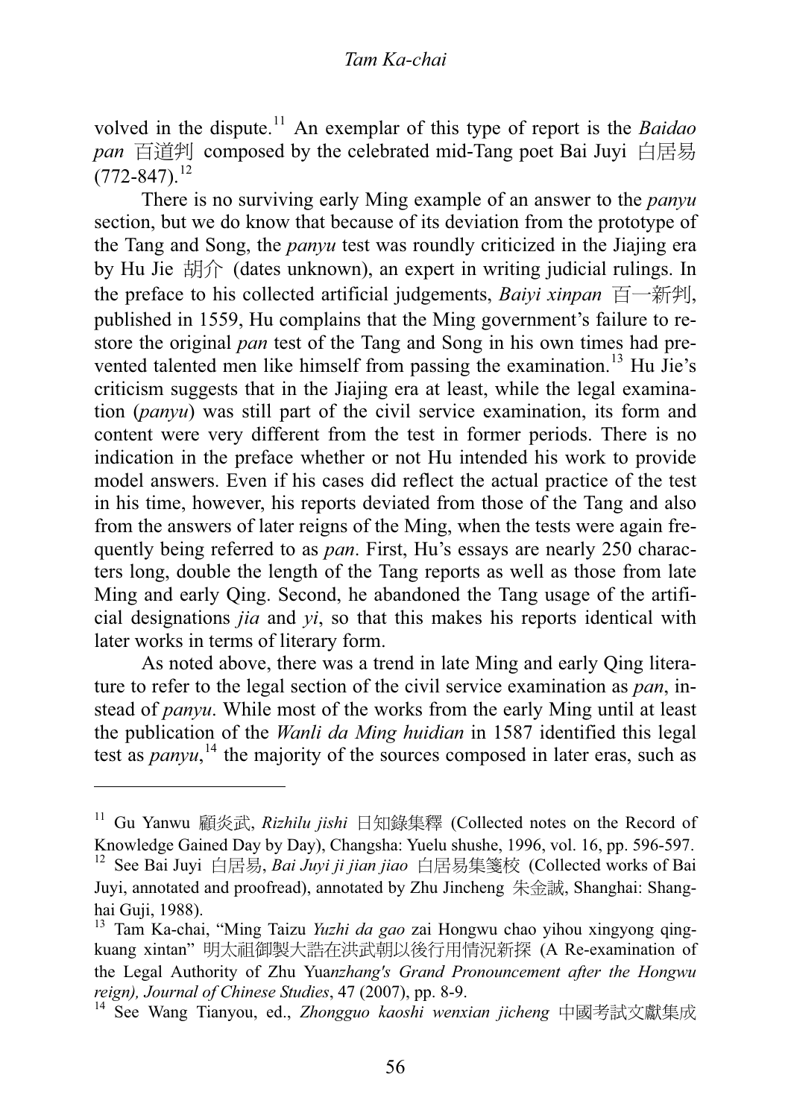volved in the dispute.11 An exemplar of this type of report is the *Baidao* pan 百道判 composed by the celebrated mid-Tang poet Bai Juyi 白居易  $(772 - 847).$ <sup>12</sup>

There is no surviving early Ming example of an answer to the *panyu* section, but we do know that because of its deviation from the prototype of the Tang and Song, the *panyu* test was roundly criticized in the Jiajing era by Hu Jie  $\sharp \sharp \hat{\mathcal{H}}$  (dates unknown), an expert in writing judicial rulings. In the preface to his collected artificial judgements, *Baivi xinpan*  $\overrightarrow{F}$ published in 1559, Hu complains that the Ming government's failure to restore the original *pan* test of the Tang and Song in his own times had prevented talented men like himself from passing the examination.<sup>13</sup> Hu Jie's criticism suggests that in the Jiajing era at least, while the legal examination (*panyu*) was still part of the civil service examination, its form and content were very different from the test in former periods. There is no indication in the preface whether or not Hu intended his work to provide model answers. Even if his cases did reflect the actual practice of the test in his time, however, his reports deviated from those of the Tang and also from the answers of later reigns of the Ming, when the tests were again frequently being referred to as *pan*. First, Hu's essays are nearly 250 characters long, double the length of the Tang reports as well as those from late Ming and early Qing. Second, he abandoned the Tang usage of the artificial designations *jia* and *yi*, so that this makes his reports identical with later works in terms of literary form.

As noted above, there was a trend in late Ming and early Qing literature to refer to the legal section of the civil service examination as *pan*, instead of *panyu*. While most of the works from the early Ming until at least<br>the publication of the *Wanli da Ming huidian* in 1587 identified this legal the publication of the *Wanli da Ming huidian* in 1587 identified this legal<br>test as *namy*<sup>14</sup> the majority of the sources composed in later eras, such as test as *panyu*,<sup>14</sup> the majority of the sources composed in later eras, such as

<sup>&</sup>lt;sup>11</sup> Gu Yanwu 顧炎武, *Rizhilu jishi* 日知錄集釋 (Collected notes on the Record of Knowledge Gained Day by Day), Changsha: Yuelu shushe, 1996, vol. 16, pp. 596-597.

<sup>&</sup>lt;sup>12</sup> See Bai Juyi 白居易, *Bai Juyi ji jian jiao* 白居易集箋校 (Collected works of Bai Juyi, annotated and proofread), annotated by Zhu Jincheng 朱金誠, Shanghai: Shanghai Guji, 1988).

<sup>13</sup> Tam Ka-chai, "Ming Taizu *Yuzhi da gao* zai Hongwu chao yihou xingyong qingkuang xintan" 明太祖御製大誥在洪武朝以後行用情況新探 (A Re-examination of the Legal Authority of Zhu Yua*nzhang's Grand Pronouncement after the Hongwu reign), Journal of Chinese Studies*, 47 (2007), pp. 8-9.

<sup>&</sup>lt;sup>14</sup> See Wang Tianyou, ed., *Zhongguo kaoshi wenxian jicheng* 中國考試文獻集成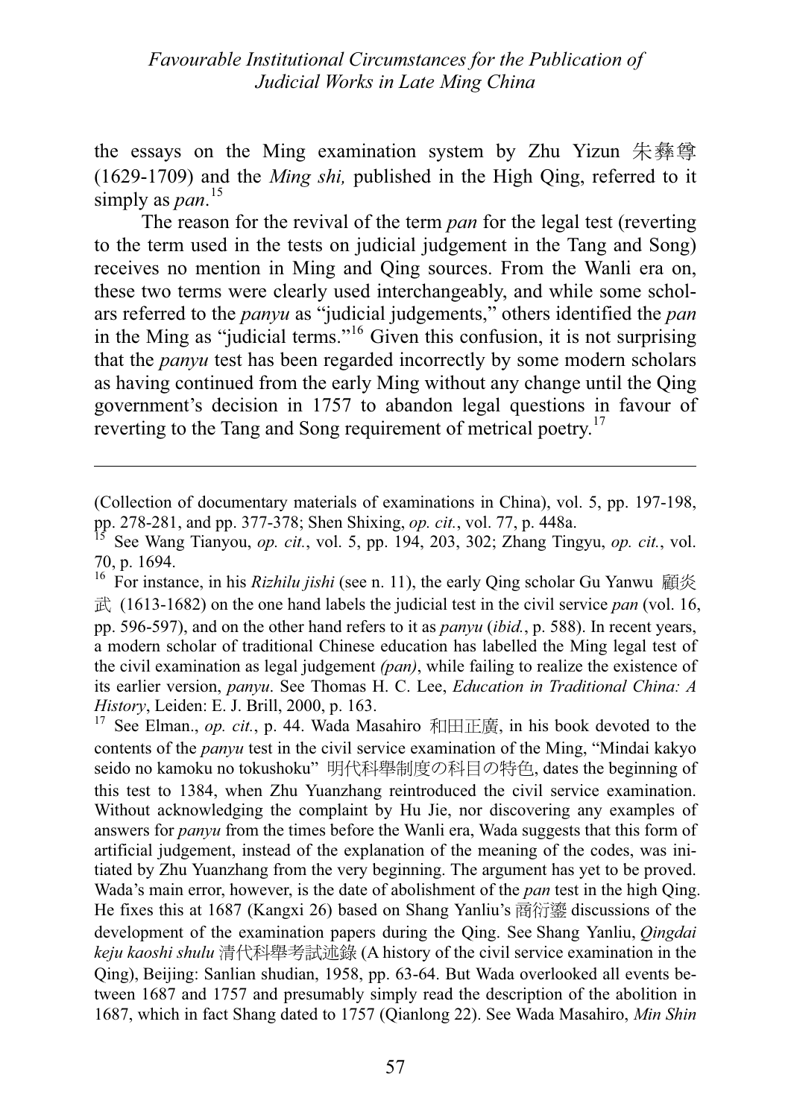the essays on the Ming examination system by Zhu Yizun 朱彝尊 (1629-1709) and the *Ming shi,* published in the High Qing, referred to it simply as *pan*.<sup>15</sup><br>The reason

The reason for the revival of the term *pan* for the legal test (reverting to the term used in the tests on judicial judgement in the Tang and Song) receives no mention in Ming and Qing sources. From the Wanli era on, these two terms were clearly used interchangeably, and while some scholars referred to the *panyu* as "judicial judgements," others identified the *pan* in the Ming as "judicial terms."16 Given this confusion, it is not surprising that the *panyu* test has been regarded incorrectly by some modern scholars as having continued from the early Ming without any change until the Qing government's decision in 1757 to abandon legal questions in favour of reverting to the Tang and Song requirement of metrical poetry.<sup>17</sup>

(Collection of documentary materials of examinations in China), vol. 5, pp. 197-198, pp. 278-281, and pp. 377-378; Shen Shixing, *op. cit.*, vol. 77, p. 448a.

<sup>15</sup> See Wang Tianyou, *op. cit.*, vol. 5, pp. 194, 203, 302; Zhang Tingyu, *op. cit.*, vol. 70, p. 1694.

<sup>&</sup>lt;sup>16</sup> For instance, in his *Rizhilu jishi* (see n. 11), the early Qing scholar Gu Yanwu 顧炎  $\vec{\mathbb{E}}$  (1613-1682) on the one hand labels the judicial test in the civil service *pan* (vol. 16, pp. 596-597), and on the other hand refers to it as *panyu* (*ibid.*, p. 588). In recent years, a modern scholar of traditional Chinese education has labelled the Ming legal test of the civil examination as legal judgement *(pan)*, while failing to realize the existence of its earlier version, *panyu*. See Thomas H. C. Lee, *Education in Traditional China: A History*, Leiden: E. J. Brill, 2000, p. 163.

See Elman., *op. cit.*, p. 44. Wada Masahiro 和田正廣, in his book devoted to the contents of the *panyu* test in the civil service examination of the Ming, "Mindai kakyo seido no kamoku no tokushoku" 明代科舉制度の科目の特色, dates the beginning of this test to 1384, when Zhu Yuanzhang reintroduced the civil service examination. Without acknowledging the complaint by Hu Jie, nor discovering any examples of answers for *panyu* from the times before the Wanli era, Wada suggests that this form of artificial judgement, instead of the explanation of the meaning of the codes, was initiated by Zhu Yuanzhang from the very beginning. The argument has yet to be proved. Wada's main error, however, is the date of abolishment of the *pan* test in the high Qing. He fixes this at 1687 (Kangxi 26) based on Shang Yanliu's 商衍鎏 discussions of the development of the examination papers during the Qing. See Shang Yanliu, *Qingdai keju kaoshi shulu* 清代科舉考試述錄 (A history of the civil service examination in the Qing), Beijing: Sanlian shudian, 1958, pp. 63-64. But Wada overlooked all events between 1687 and 1757 and presumably simply read the description of the abolition in 1687, which in fact Shang dated to 1757 (Qianlong 22). See Wada Masahiro, *Min Shin*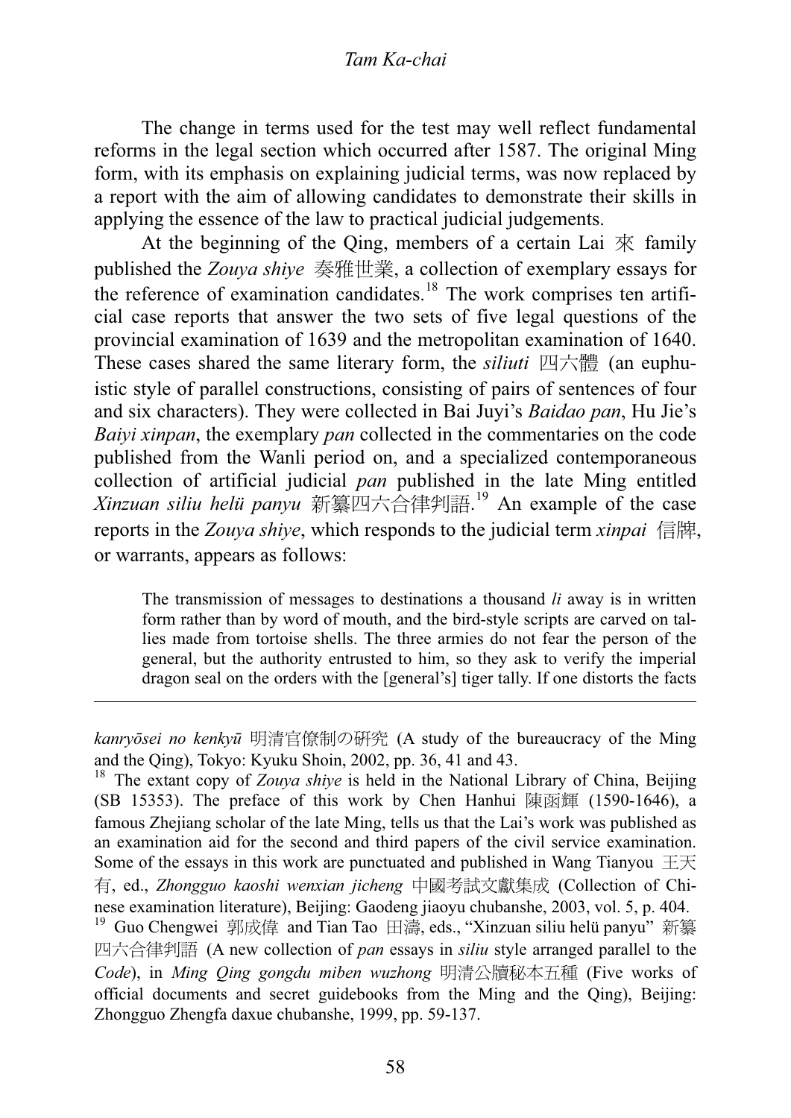#### Tam Ka-chai *Tam Ka-chai*

The change in terms used for the test may well reflect fundamental reforms in the legal section which occurred after 1587. The original Ming form, with its emphasis on explaining judicial terms, was now replaced by a report with the aim of allowing candidates to demonstrate their skills in applying the essence of the law to practical judicial judgements.

At the beginning of the Qing, members of a certain Lai  $\overline{\mathcal{K}}$  family published the *Zouya shive* 奏雅世業, a collection of exemplary essays for the reference of examination candidates.<sup>18</sup> The work comprises ten artificial case reports that answer the two sets of five legal questions of the provincial examination of 1639 and the metropolitan examination of 1640. These cases shared the same literary form, the *siliuti* 四六體 (an euphuistic style of parallel constructions, consisting of pairs of sentences of four and six characters). They were collected in Bai Juyi's *Baidao pan*, Hu Jie's *Baiyi xinpan*, the exemplary *pan* collected in the commentaries on the code published from the Wanli period on, and a specialized contemporaneous collection of artificial judicial *pan* published in the late Ming entitled *Xinzuan siliu helü panyu* 新纂四六合律判語.<sup>19</sup> An example of the case reports in the *Zouva shive*, which responds to the judicial term *xinpai* 信牌, or warrants, appears as follows:

The transmission of messages to destinations a thousand *li* away is in written form rather than by word of mouth, and the bird-style scripts are carved on tallies made from tortoise shells. The three armies do not fear the person of the general, but the authority entrusted to him, so they ask to verify the imperial dragon seal on the orders with the [general's] tiger tally. If one distorts the facts

*kanryõsei no kenkyū* 明清官僚制の研究 (A study of the bureaucracy of the Ming and the Qing), Tokyo: Kyuku Shoin, 2002, pp. 36, 41 and 43.

<sup>18</sup> The extant copy of *Zouya shiye* is held in the National Library of China, Beijing (SB 15353). The preface of this work by Chen Hanhui 陳函輝 (1590-1646), a famous Zheijang scholar of the late Ming, tells us that the Lai's work was published as an examination aid for the second and third papers of the civil service examination. Some of the essays in this work are punctuated and published in Wang Tianyou  $\pm \pm \sqrt{\phantom{a}}$ 有, ed., *Zhongguo kaoshi wenxian jicheng* 中國考試文獻集成 (Collection of Chinese examination literature), Beijing: Gaodeng jiaoyu chubanshe, 2003, vol. 5, p. 404.

<sup>19</sup> Guo Chengwei 郭成偉 and Tian Tao 田濤, eds., "Xinzuan siliu helü panyu" 新纂 四六合律判語 (A new collection of *pan* essays in *siliu* style arranged parallel to the Code), in *Ming Qing gongdu miben wuzhong* 明清公牘秘本五種 (Five works of official documents and secret guidebooks from the Ming and the Qing), Beijing: Zhongguo Zhengfa daxue chubanshe, 1999, pp. 59-137.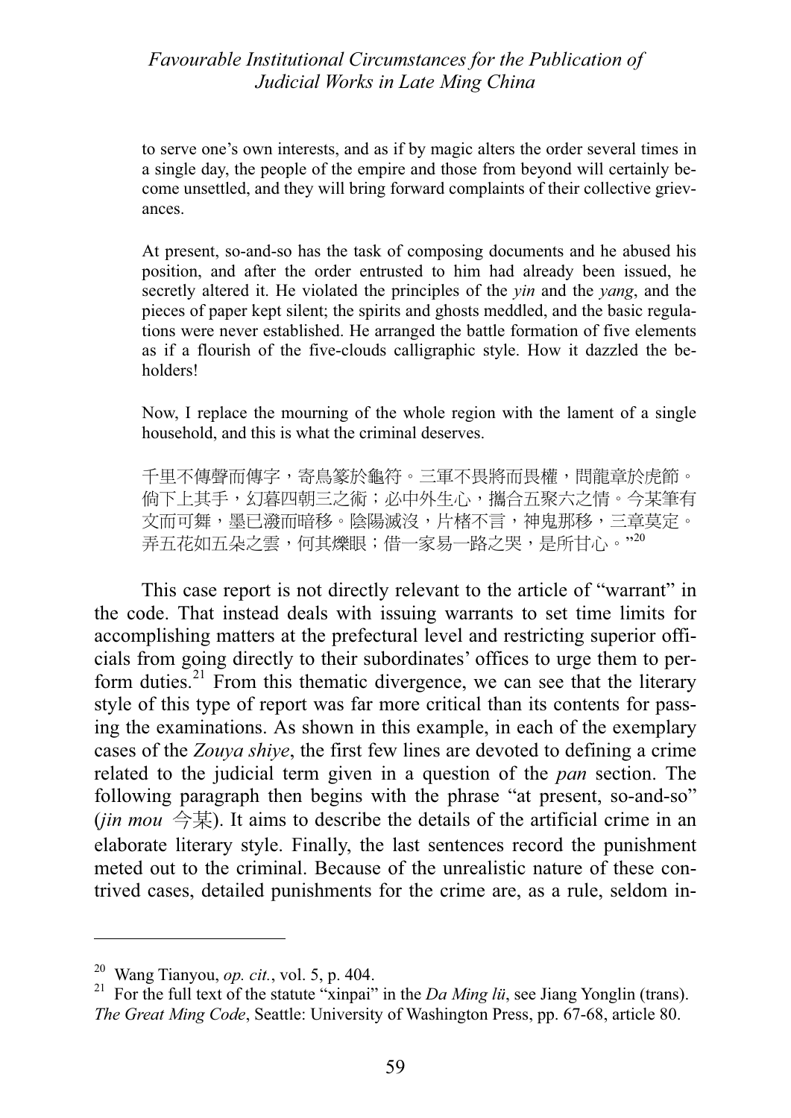to serve one's own interests, and as if by magic alters the order several times in a single day, the people of the empire and those from beyond will certainly become unsettled, and they will bring forward complaints of their collective grievances.

At present, so-and-so has the task of composing documents and he abused his position, and after the order entrusted to him had already been issued, he secretly altered it. He violated the principles of the *yin* and the *yang*, and the pieces of paper kept silent; the spirits and ghosts meddled, and the basic regulations were never established. He arranged the battle formation of five elements as if a flourish of the five-clouds calligraphic style. How it dazzled the beholders!

Now, I replace the mourning of the whole region with the lament of a single household, and this is what the criminal deserves.

千里不傳聲而傳字,寄鳥篆於龜符。三軍不畏將而畏權,問龍章於虎節。 倘下上其手,幻暮四朝三之術;必中外生心,攜合五聚六之情。今某筆有 文而可舞,墨已潑而暗移。陰陽滅沒,片楮不言,神鬼那移,三章莫定。 弄五花如五朵之雲,何其爍眼;借一家易一路之哭,是所甘心。"20

This case report is not directly relevant to the article of "warrant" in the code. That instead deals with issuing warrants to set time limits for accomplishing matters at the prefectural level and restricting superior officials from going directly to their subordinates' offices to urge them to perform duties.<sup>21</sup> From this thematic divergence, we can see that the literary style of this type of report was far more critical than its contents for passing the examinations. As shown in this example, in each of the exemplary cases of the *Zouya shiye*, the first few lines are devoted to defining a crime related to the judicial term given in a question of the *pan* section. The following paragraph then begins with the phrase "at present, so-and-so" (*jin mou*  $\hat{\otimes}$  $\ddagger$ ). It aims to describe the details of the artificial crime in an elaborate literary style. Finally, the last sentences record the punishment meted out to the criminal. Because of the unrealistic nature of these contrived cases, detailed punishments for the crime are, as a rule, seldom in-

<sup>20</sup> Wang Tianyou, *op. cit.*, vol. 5, p. 404.

<sup>21</sup> For the full text of the statute "xinpai" in the *Da Ming lü*, see Jiang Yonglin (trans). *The Great Ming Code*, Seattle: University of Washington Press, pp. 67-68, article 80.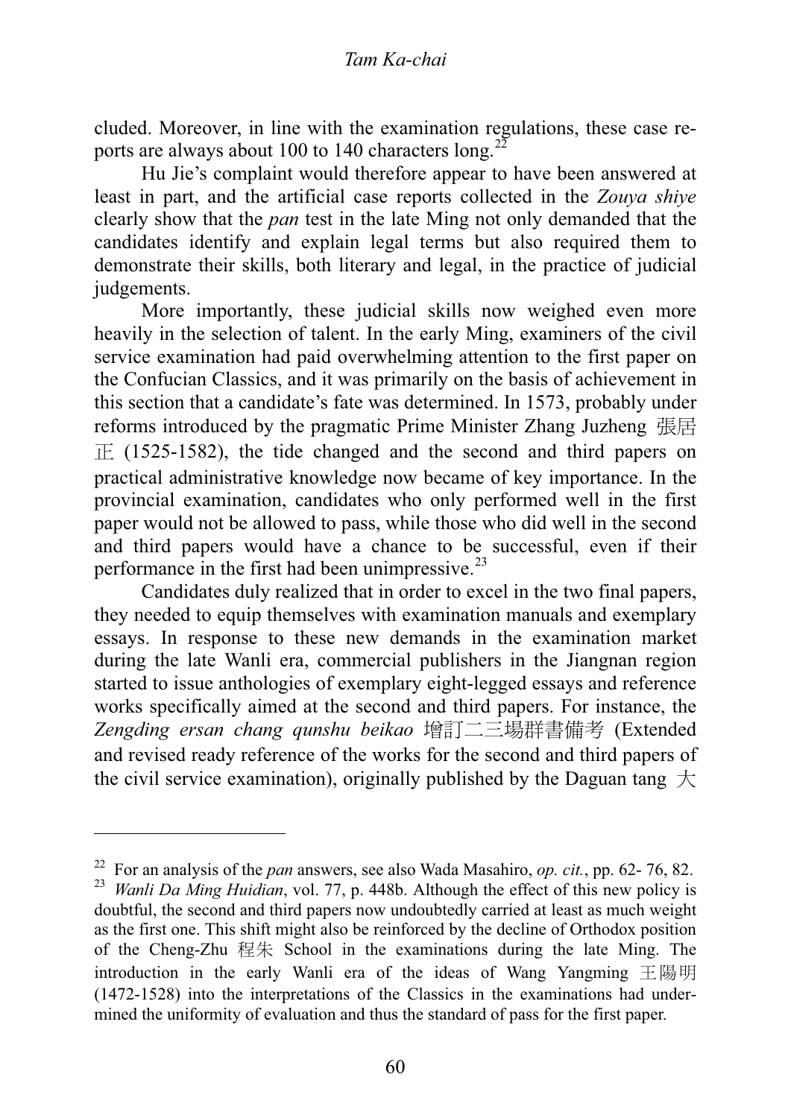cluded. Moreover, in line with the examination regulations, these case reports are always about 100 to 140 characters  $long$ .

Hu Jie's complaint would therefore appear to have been answered at least in part, and the artificial case reports collected in the *Zouya shiye* clearly show that the *pan* test in the late Ming not only demanded that the candidates identify and explain legal terms but also required them to demonstrate their skills, both literary and legal, in the practice of judicial judgements.

More importantly, these judicial skills now weighed even more heavily in the selection of talent. In the early Ming, examiners of the civil service examination had paid overwhelming attention to the first paper on the Confucian Classics, and it was primarily on the basis of achievement in this section that a candidate's fate was determined. In 1573, probably under reforms introduced by the pragmatic Prime Minister Zhang Juzheng  $\overline{R}$  $\overline{F}$  (1525-1582), the tide changed and the second and third papers on practical administrative knowledge now became of key importance. In the provincial examination, candidates who only performed well in the first paper would not be allowed to pass, while those who did well in the second and third papers would have a chance to be successful, even if their performance in the first had been unimpressive.<sup>23</sup>

Candidates duly realized that in order to excel in the two final papers, they needed to equip themselves with examination manuals and exemplary essays. In response to these new demands in the examination market during the late Wanli era, commercial publishers in the Jiangnan region started to issue anthologies of exemplary eight-legged essays and reference works specifically aimed at the second and third papers. For instance, the Zengding ersan chang qunshu beikao 增訂二三場群書備考 (Extended and revised ready reference of the works for the second and third papers of the civil service examination), originally published by the Daguan tang  $\pm$ 

<sup>22</sup> For an analysis of the *pan* answers, see also Wada Masahiro, *op. cit.*, pp. 62- 76, 82. 23 *Wanli Da Ming Huidian*, vol. 77, p. 448b. Although the effect of this new policy is doubtful, the second and third papers now undoubtedly carried at least as much weight as the first one. This shift might also be reinforced by the decline of Orthodox position of the Cheng-Zhu  $#$  School in the examinations during the late Ming. The introduction in the early Wanli era of the ideas of Wang Yangming 王陽明 (1472-1528) into the interpretations of the Classics in the examinations had undermined the uniformity of evaluation and thus the standard of pass for the first paper.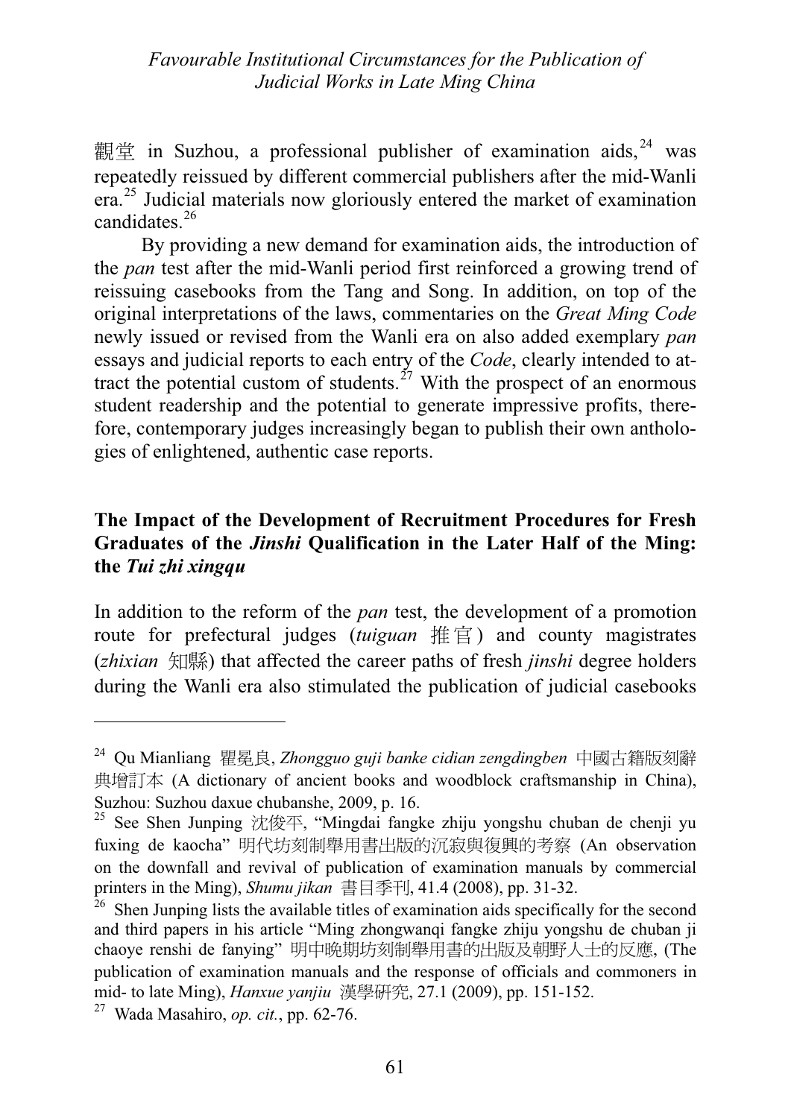觀堂 in Suzhou, a professional publisher of examination aids,  $24$  was repeatedly reissued by different commercial publishers after the mid-Wanli era.<sup>25</sup> Judicial materials now gloriously entered the market of examination candidates.<sup>26</sup>

By providing a new demand for examination aids, the introduction of the *pan* test after the mid-Wanli period first reinforced a growing trend of reissuing casebooks from the Tang and Song. In addition, on top of the original interpretations of the laws, commentaries on the *Great Ming Code* newly issued or revised from the Wanli era on also added exemplary *pan*<br>essays and judicial reports to each entry of the *Code*, clearly intended to atessays and judicial reports to each entry of the *Code*, clearly intended to at-<br>tract the potential custom of students<sup>27</sup> With the prospect of an enormous tract the potential custom of students.<sup> $27$ </sup> With the prospect of an enormous student readership and the potential to generate impressive profits, therefore, contemporary judges increasingly began to publish their own anthologies of enlightened, authentic case reports.

# Graduates of the *Jinshi* Qualification in the Later Half of the Ming:<br>the *Tui zhi xingau* **the** *Tui zhi xingqu*

In addition to the reform of the *pan* test, the development of a promotion route for prefectural judges *(tuiguan* 推官) and county magistrates (*zhixian* 知縣) that affected the career paths of fresh *jinshi* degree holders during the Wanli era also stimulated the publication of judicial casebooks

<sup>&</sup>lt;sup>24</sup> Qu Mianliang 瞿冕良, *Zhongguo guji banke cidian zengdingben* 中國古籍版刻辭 典增訂本 (A dictionary of ancient books and woodblock craftsmanship in China), Suzhou: Suzhou daxue chubanshe, 2009, p. 16.

<sup>&</sup>lt;sup>25</sup> See Shen Junping 沈俊平, "Mingdai fangke zhiju yongshu chuban de chenji yu fuxing de kaocha" 明代坊刻制舉用書出版的沉寂與復興的考察 (An observation on the downfall and revival of publication of examination manuals by commercial printers in the Ming), *Shumu jikan*  $\equiv \equiv \equiv \equiv \mp 1, 41.4$  (2008), pp. 31-32.

 $26$  Shen Junping lists the available titles of examination aids specifically for the second and third papers in his article "Ming zhongwanqi fangke zhiju yongshu de chuban ji chaoye renshi de fanying" 明中晚期坊刻制舉用書的出版及朝野人士的反應, (The publication of examination manuals and the response of officials and commoners in mid- to late Ming), *Hanxue yanjiu* 漢學研究, 27.1 (2009), pp. 151-152.

<sup>27</sup> Wada Masahiro, *op. cit.*, pp. 62-76.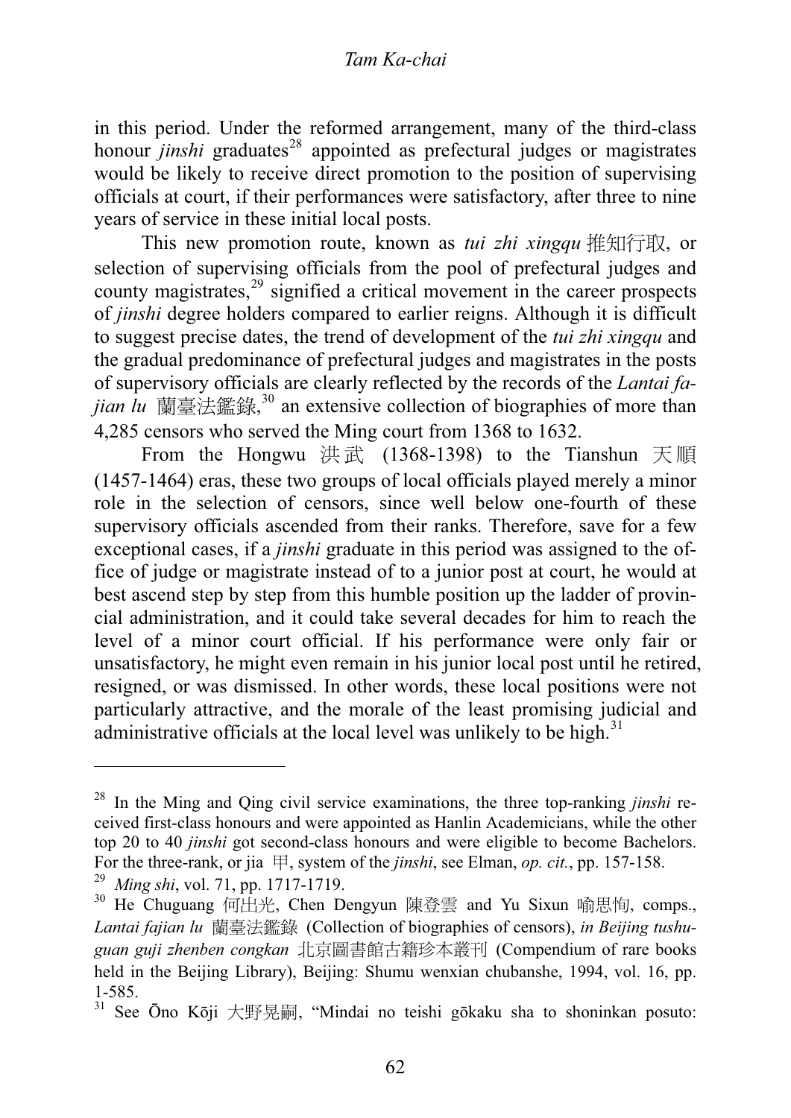in this period. Under the reformed arrangement, many of the third-class honour *jinshi* graduates<sup>28</sup> appointed as prefectural judges or magistrates would be likely to receive direct promotion to the position of supervising officials at court, if their performances were satisfactory, after three to nine years of service in these initial local posts.

This new promotion route, known as *tui zhi xingqu* 推知行取, or selection of supervising officials from the pool of prefectural judges and county magistrates,  $29$  signified a critical movement in the career prospects of *jinshi* degree holders compared to earlier reigns. Although it is difficult to suggest precise dates, the trend of development of the *tui zhi xingqu* and the gradual predominance of prefectural judges and magistrates in the posts of supervisory officials are clearly reflected by the records of the *Lantai fajian lu* 蘭臺法鑑錄,<sup>30</sup> an extensive collection of biographies of more than  $\frac{1255}{125}$  cansors who served the Ming court from 1368 to 1632 4,285 censors who served the Ming court from 1368 to 1632.

From the Hongwu 洪武 (1368-1398) to the Tianshun 天順 (1457-1464) eras, these two groups of local officials played merely a minor role in the selection of censors, since well below one-fourth of these supervisory officials ascended from their ranks. Therefore, save for a few exceptional cases, if a *jinshi* graduate in this period was assigned to the office of judge or magistrate instead of to a junior post at court, he would at best ascend step by step from this humble position up the ladder of provincial administration, and it could take several decades for him to reach the level of a minor court official. If his performance were only fair or unsatisfactory, he might even remain in his junior local post until he retired, resigned, or was dismissed. In other words, these local positions were not particularly attractive, and the morale of the least promising judicial and administrative officials at the local level was unlikely to be high.<sup>31</sup>

<sup>28</sup> In the Ming and Qing civil service examinations, the three top-ranking *jinshi* received first-class honours and were appointed as Hanlin Academicians, while the other top 20 to 40 *jinshi* got second-class honours and were eligible to become Bachelors. For the three-rank, or jia ظ, system of the *jinshi*, see Elman, *op. cit.*, pp. 157-158. <sup>29</sup> *Ming shi*, vol. 71, pp. 1717-1719.<br><sup>30</sup> He Chuguang 何出来 Chen De

 $30$  He Chuguang 何出光, Chen Dengyun 陳登雲 and Yu Sixun 喻思恂, comps., Lantai fajian lu 蘭臺法鑑錄 (Collection of biographies of censors), *in Beijing tushu*guan guji zhenben congkan 北京圖書館古籍珍本叢刊 (Compendium of rare books held in the Beijing Library), Beijing: Shumu wenxian chubanshe, 1994, vol. 16, pp. 1-585.

 $31$  See Ōno Kōji 大野晃嗣, "Mindai no teishi gōkaku sha to shoninkan posuto: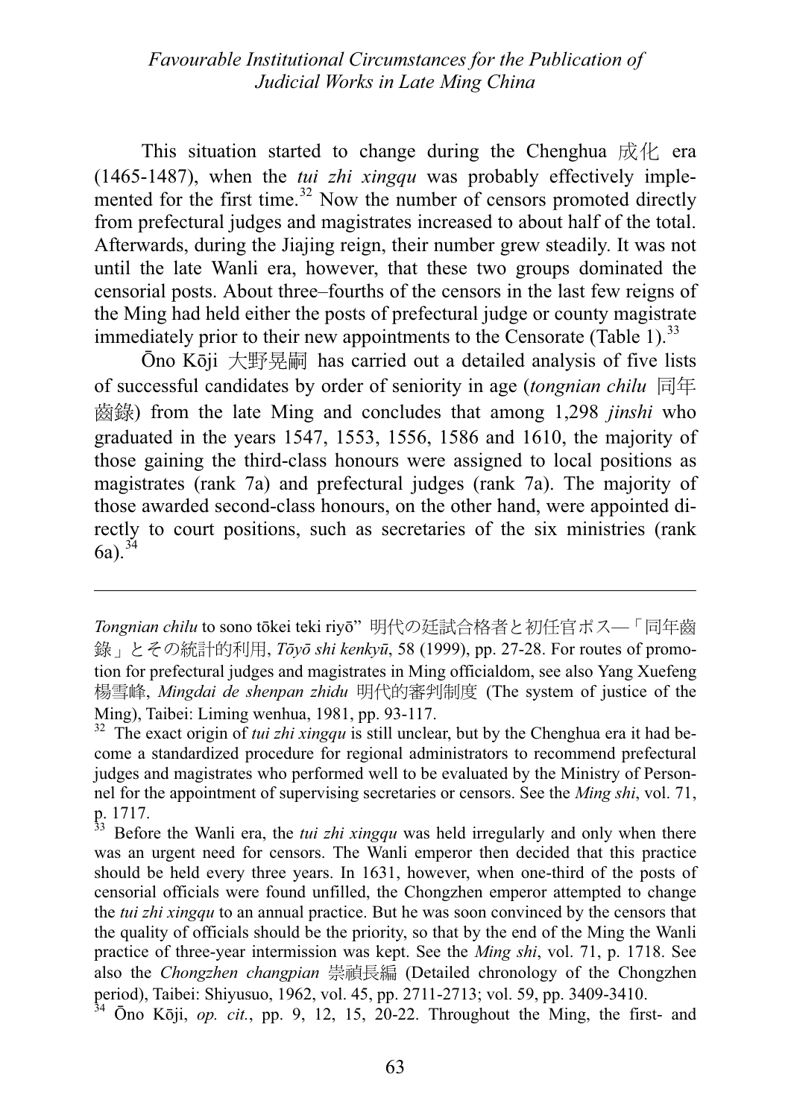This situation started to change during the Chenghua  $\mathbb{R}/\mathbb{R}$  era (1465-1487), when the *tui zhi xingqu* was probably effectively imple-<br>mented for the first time.<sup>32</sup> Now the number of censors promoted directly from prefectural judges and magistrates increased to about half of the total. Afterwards, during the Jiajing reign, their number grew steadily. It was not until the late Wanli era, however, that these two groups dominated the censorial posts. About three–fourths of the censors in the last few reigns of the Ming had held either the posts of prefectural judge or county magistrate immediately prior to their new appointments to the Censorate (Table 1).<sup>33</sup>

Ōno Kōji 大野晃嗣 has carried out a detailed analysis of five lists of successful candidates by order of seniority in age *(tongnian chilu* 同年 ᕡᙕ) from the late Ming and concludes that among 1,298 *jinshi* who graduated in the years 1547, 1553, 1556, 1586 and 1610, the majority of those gaining the third-class honours were assigned to local positions as magistrates (rank 7a) and prefectural judges (rank 7a). The majority of those awarded second-class honours, on the other hand, were appointed directly to court positions, such as secretaries of the six ministries (rank  $6a)$ .  $34$ 

*Tongnian chilu* to sono tōkei teki riyō"明代の廷試合格者と初任官ポス–「同年齒 録」とその統計的利用, *Tōvō shi kenkvū*, 58 (1999), pp. 27-28. For routes of promotion for prefectural judges and magistrates in Ming officialdom, see also Yang Xuefeng 楊雪峰, *Mingdai de shenpan zhidu* 明代的審判制度 (The system of justice of the Ming), Taibei: Liming wenhua, 1981, pp. 93-117.

<sup>32</sup> The exact origin of *tui zhi xingqu* is still unclear, but by the Chenghua era it had become a standardized procedure for regional administrators to recommend prefectural judges and magistrates who performed well to be evaluated by the Ministry of Personnel for the appointment of supervising secretaries or censors. See the *Ming shi*, vol. 71, p. 1717.

<sup>33</sup> Before the Wanli era, the *tui zhi xingqu* was held irregularly and only when there was an urgent need for censors. The Wanli emperor then decided that this practice should be held every three years. In 1631, however, when one-third of the posts of censorial officials were found unfilled, the Chongzhen emperor attempted to change the *tui zhi xingqu* to an annual practice. But he was soon convinced by the censors that the quality of officials should be the priority, so that by the end of the Ming the Wanli practice of three-year intermission was kept. See the *Ming shi*, vol. 71, p. 1718. See also the *Chongzhen changpian* 崇禎長編 (Detailed chronology of the Chongzhen period), Taibei: Shiyusuo, 1962, vol. 45, pp. 2711-2713; vol. 59, pp. 3409-3410.

 $34$   $\overline{O}$ no Kōji, *op. cit.*, pp. 9, 12, 15, 20-22. Throughout the Ming, the first- and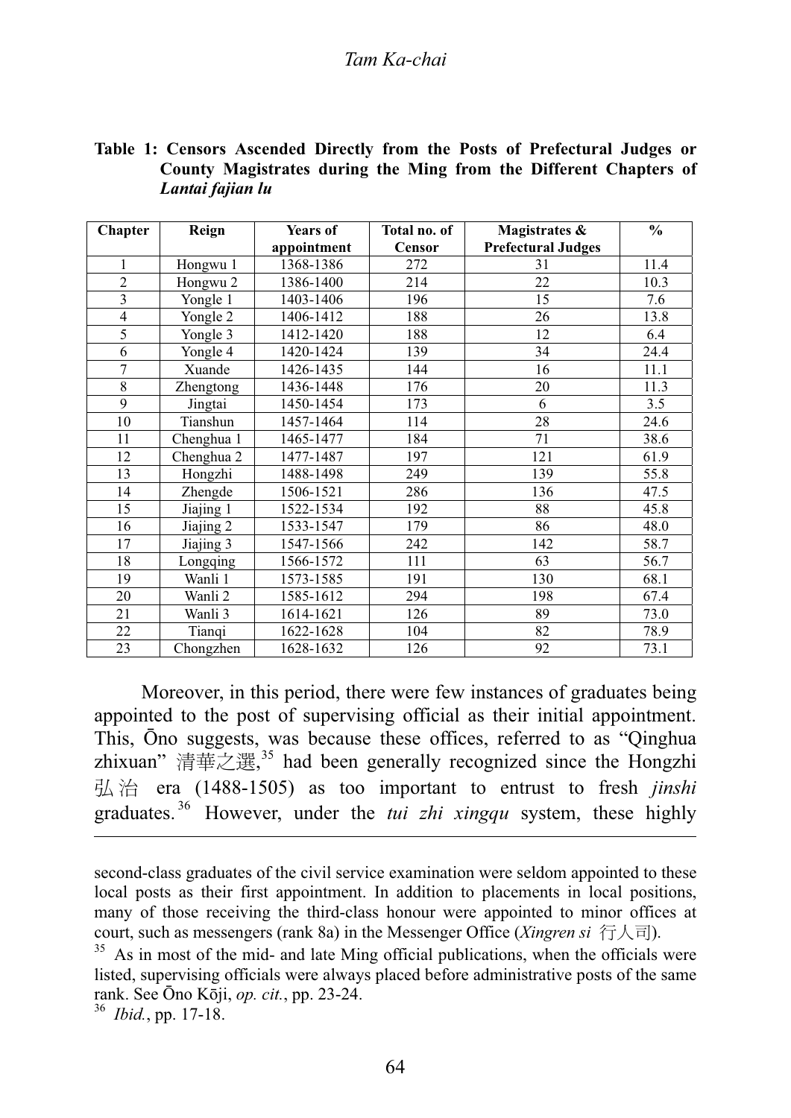#### Tam Ka-chai *Tam Ka-chai*

### **Table 1: Censors Ascended Directly from the Posts of Prefectural Judges or County Magistrates during the Ming from the Different Chapters of**  *Lantai fajian lu*

| <b>Chapter</b>          | Reign      | <b>Years of</b> | Total no. of | Magistrates &             | $\frac{0}{0}$ |
|-------------------------|------------|-----------------|--------------|---------------------------|---------------|
|                         |            | appointment     | Censor       | <b>Prefectural Judges</b> |               |
| 1                       | Hongwu 1   | 1368-1386       | 272          | 31                        | 11.4          |
| $\overline{2}$          | Hongwu 2   | 1386-1400       | 214          | 22                        | 10.3          |
| $\overline{\mathbf{3}}$ | Yongle 1   | 1403-1406       | 196          | 15                        | 7.6           |
| $\overline{4}$          | Yongle 2   | 1406-1412       | 188          | 26                        | 13.8          |
| 5                       | Yongle 3   | 1412-1420       | 188          | 12                        | 6.4           |
| 6                       | Yongle 4   | 1420-1424       | 139          | 34                        | 24.4          |
| $\overline{7}$          | Xuande     | 1426-1435       | 144          | 16                        | 11.1          |
| 8                       | Zhengtong  | 1436-1448       | 176          | 20                        | 11.3          |
| 9                       | Jingtai    | 1450-1454       | 173          | 6                         | 3.5           |
| 10                      | Tianshun   | 1457-1464       | 114          | 28                        | 24.6          |
| 11                      | Chenghua 1 | 1465-1477       | 184          | 71                        | 38.6          |
| 12                      | Chenghua 2 | 1477-1487       | 197          | 121                       | 61.9          |
| 13                      | Hongzhi    | 1488-1498       | 249          | 139                       | 55.8          |
| 14                      | Zhengde    | 1506-1521       | 286          | 136                       | 47.5          |
| 15                      | Jiajing 1  | 1522-1534       | 192          | 88                        | 45.8          |
| 16                      | Jiajing 2  | 1533-1547       | 179          | 86                        | 48.0          |
| 17                      | Jiajing 3  | 1547-1566       | 242          | 142                       | 58.7          |
| 18                      | Longqing   | 1566-1572       | 111          | 63                        | 56.7          |
| 19                      | Wanli 1    | 1573-1585       | 191          | 130                       | 68.1          |
| 20                      | Wanli 2    | 1585-1612       | 294          | 198                       | 67.4          |
| 21                      | Wanli 3    | 1614-1621       | 126          | 89                        | 73.0          |
| 22                      | Tianqi     | 1622-1628       | 104          | 82                        | 78.9          |
| 23                      | Chongzhen  | 1628-1632       | 126          | 92                        | 73.1          |

Moreover, in this period, there were few instances of graduates being appointed to the post of supervising official as their initial appointment. This, Ono suggests, was because these offices, referred to as "Qinghua zhixuan" 清華之選,<sup>35</sup> had been generally recognized since the Hongzhi 弘治 era (1488-1505) as too important to entrust to fresh *jinshi* graduates. 36 However, under the *tui zhi xingqu* system, these highly

second-class graduates of the civil service examination were seldom appointed to these local posts as their first appointment. In addition to placements in local positions, many of those receiving the third-class honour were appointed to minor offices at court, such as messengers (rank 8a) in the Messenger Office (*Xingren si*  $\overline{\mathcal{F}}\setminus\overline{\mathbb{F}}$ ).

36 *Ibid.*, pp. 17-18.

 $35$  As in most of the mid- and late Ming official publications, when the officials were listed, supervising officials were always placed before administrative posts of the same rank. See Ōno Kōji, *op. cit.*, pp. 23-24.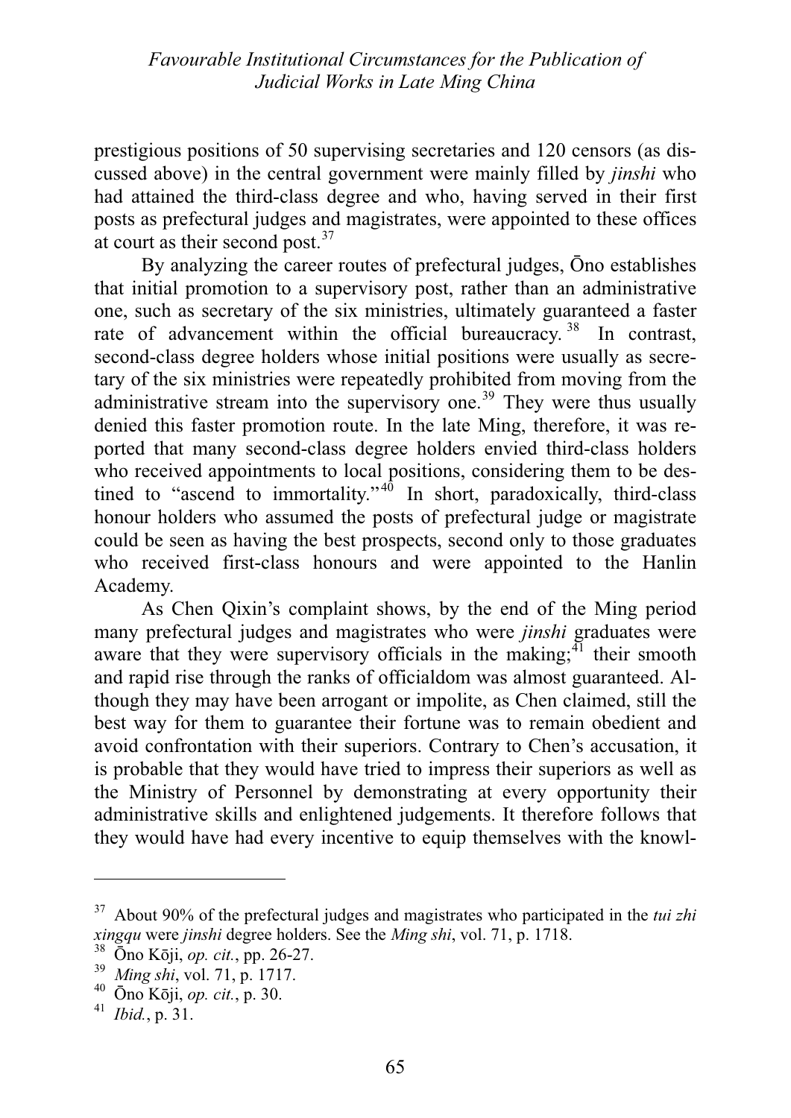prestigious positions of 50 supervising secretaries and 120 censors (as discussed above) in the central government were mainly filled by *jinshi* who had attained the third-class degree and who, having served in their first posts as prefectural judges and magistrates, were appointed to these offices at court as their second post.<sup>37</sup>

By analyzing the career routes of prefectural judges, Ono establishes that initial promotion to a supervisory post, rather than an administrative one, such as secretary of the six ministries, ultimately guaranteed a faster rate of advancement within the official bureaucracy.<sup>38</sup> In contrast, second-class degree holders whose initial positions were usually as secretary of the six ministries were repeatedly prohibited from moving from the administrative stream into the supervisory one.<sup>39</sup> They were thus usually denied this faster promotion route. In the late Ming, therefore, it was reported that many second-class degree holders envied third-class holders who received appointments to local positions, considering them to be destined to "ascend to immortality."<sup>40</sup> In short, paradoxically, third-class honour holders who assumed the posts of prefectural judge or magistrate could be seen as having the best prospects, second only to those graduates who received first-class honours and were appointed to the Hanlin Academy.

As Chen Qixin's complaint shows, by the end of the Ming period many prefectural judges and magistrates who were *jinshi* graduates were aware that they were supervisory officials in the making;<sup>41</sup> their smooth and rapid rise through the ranks of officialdom was almost guaranteed. Although they may have been arrogant or impolite, as Chen claimed, still the best way for them to guarantee their fortune was to remain obedient and avoid confrontation with their superiors. Contrary to Chen's accusation, it is probable that they would have tried to impress their superiors as well as the Ministry of Personnel by demonstrating at every opportunity their administrative skills and enlightened judgements. It therefore follows that they would have had every incentive to equip themselves with the knowl-

<sup>37</sup> About 90% of the prefectural judges and magistrates who participated in the *tui zhi xingqu* were *jinshi* degree holders. See the *Ming shi*, vol. 71, p. 1718.

<sup>&</sup>lt;sup>38</sup>  $\overline{O}$ no Kōji, *op. cit.*, pp. 26-27.

<sup>&</sup>lt;sup>39</sup> *Ming shi*, vol. 71, p. 1717.<br><sup>40</sup> Ono Kōji *on cit* n 30

<sup>40</sup> <sup>ƿ</sup>no Kǀji, *op. cit.*, p. 30.

<sup>41</sup> *Ibid.*, p. 31.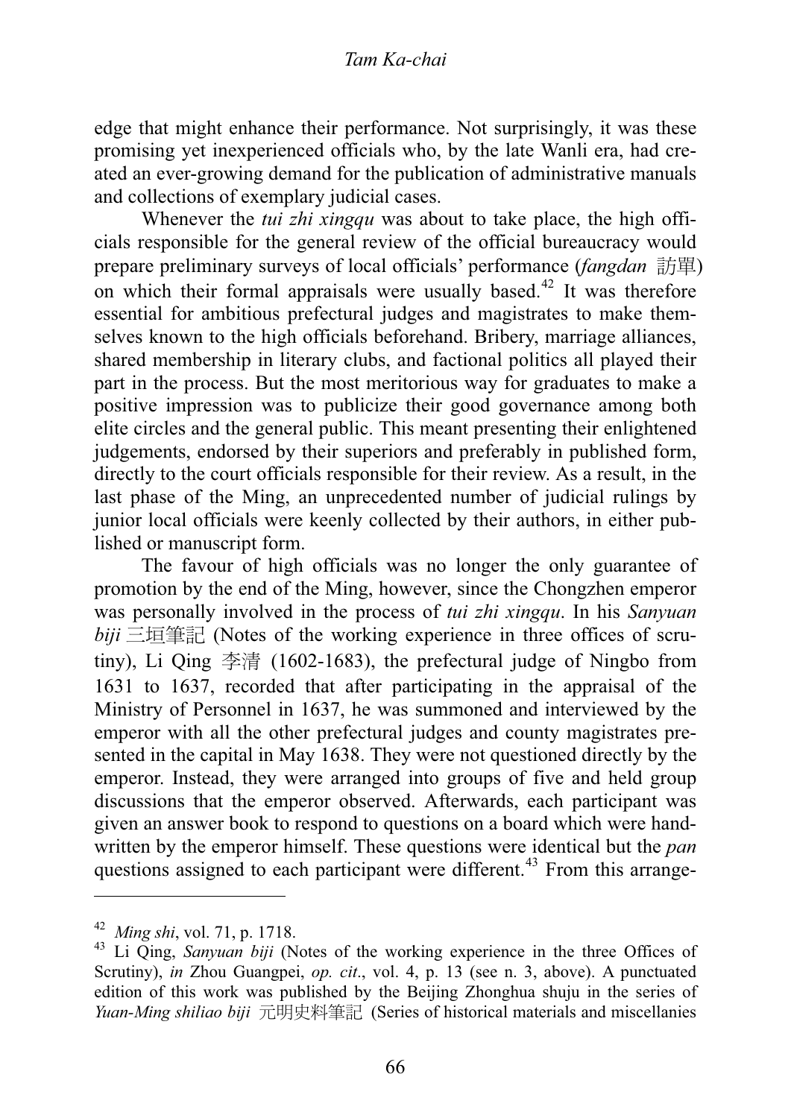edge that might enhance their performance. Not surprisingly, it was these promising yet inexperienced officials who, by the late Wanli era, had created an ever-growing demand for the publication of administrative manuals and collections of exemplary judicial cases.

Whenever the *tui zhi xingqu* was about to take place, the high officials responsible for the general review of the official bureaucracy would prepare preliminary surveys of local officials' performance *(fangdan* 訪單) on which their formal appraisals were usually based.<sup>42</sup> It was therefore essential for ambitious prefectural judges and magistrates to make themselves known to the high officials beforehand. Bribery, marriage alliances, shared membership in literary clubs, and factional politics all played their part in the process. But the most meritorious way for graduates to make a positive impression was to publicize their good governance among both elite circles and the general public. This meant presenting their enlightened judgements, endorsed by their superiors and preferably in published form, directly to the court officials responsible for their review. As a result, in the last phase of the Ming, an unprecedented number of judicial rulings by junior local officials were keenly collected by their authors, in either published or manuscript form.

The favour of high officials was no longer the only guarantee of promotion by the end of the Ming, however, since the Chongzhen emperor was personally involved in the process of *tui zhi xingqu*. In his *Sanyuan*  $biii$   $\equiv$ 垣筆記 (Notes of the working experience in three offices of scrutiny), Li Qing  $\ddot{\mathcal{F}}$  (1602-1683), the prefectural judge of Ningbo from 1631 to 1637, recorded that after participating in the appraisal of the Ministry of Personnel in 1637, he was summoned and interviewed by the emperor with all the other prefectural judges and county magistrates presented in the capital in May 1638. They were not questioned directly by the emperor. Instead, they were arranged into groups of five and held group discussions that the emperor observed. Afterwards, each participant was given an answer book to respond to questions on a board which were handwritten by the emperor himself. These questions were identical but the *pan* questions assigned to each participant were different.<sup>43</sup> From this arrange-

 $^{42}$  Ming shi, vol. 71, p. 1718. *Ming shi*, vol. 71, p. 1718.

<sup>&</sup>lt;sup>43</sup> Li Qing, *Sanyuan biji* (Notes of the working experience in the three Offices of Scrutiny) in Zhou Guangnei *on cit*, yol 4 n 13 (see n 3 above). A nunctuated Scrutiny), *in* Zhou Guangpei, *op. cit*., vol. 4, p. 13 (see n. 3, above). A punctuated edition of this work was published by the Beijing Zhonghua shuju in the series of *Yuan-Ming shiliao biji* 元明史料筆記 (Series of historical materials and miscellanies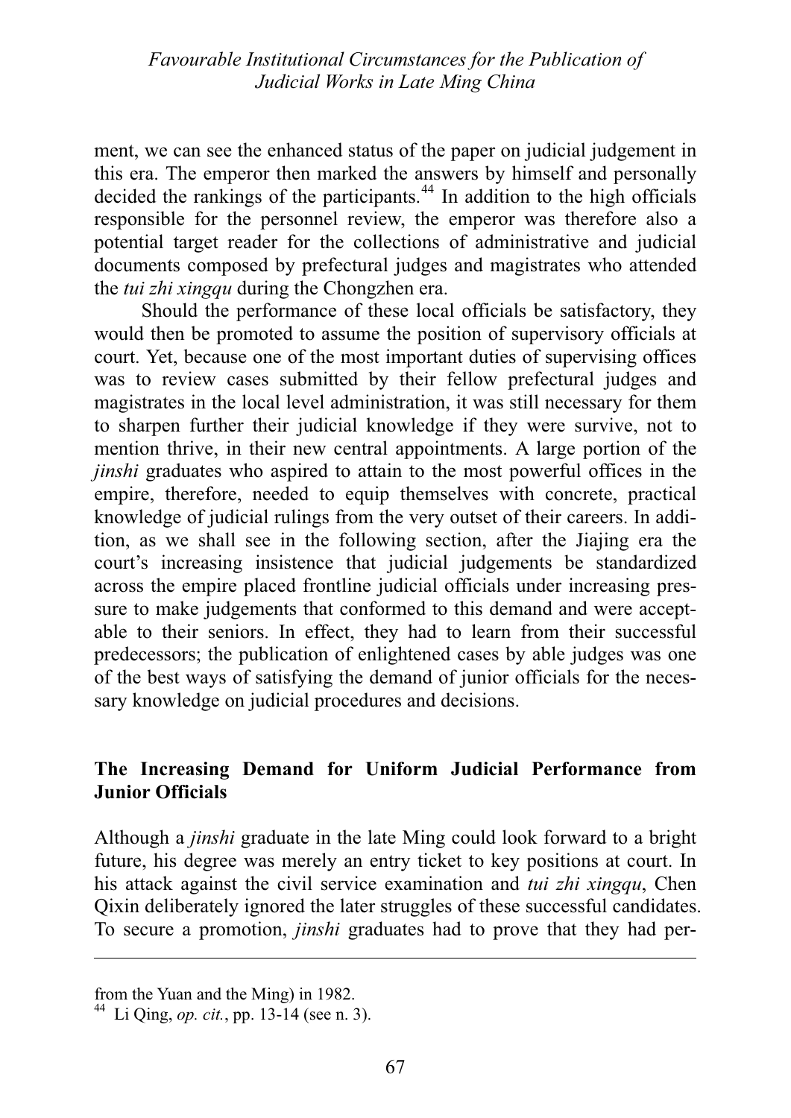ment, we can see the enhanced status of the paper on judicial judgement in this era. The emperor then marked the answers by himself and personally decided the rankings of the participants.<sup>44</sup> In addition to the high officials responsible for the personnel review, the emperor was therefore also a potential target reader for the collections of administrative and judicial documents composed by prefectural judges and magistrates who attended the *tui zhi xingqu* during the Chongzhen era.

Should the performance of these local officials be satisfactory, they would then be promoted to assume the position of supervisory officials at court. Yet, because one of the most important duties of supervising offices was to review cases submitted by their fellow prefectural judges and magistrates in the local level administration, it was still necessary for them to sharpen further their judicial knowledge if they were survive, not to mention thrive, in their new central appointments. A large portion of the *jinshi* graduates who aspired to attain to the most powerful offices in the empire, therefore, needed to equip themselves with concrete, practical knowledge of judicial rulings from the very outset of their careers. In addition, as we shall see in the following section, after the Jiajing era the court's increasing insistence that judicial judgements be standardized across the empire placed frontline judicial officials under increasing pressure to make judgements that conformed to this demand and were acceptable to their seniors. In effect, they had to learn from their successful predecessors; the publication of enlightened cases by able judges was one of the best ways of satisfying the demand of junior officials for the necessary knowledge on judicial procedures and decisions.

## **The Increasing Demand for Uniform Judicial Performance from Junior Officials**

Although a *jinshi* graduate in the late Ming could look forward to a bright future, his degree was merely an entry ticket to key positions at court. In his attack against the civil service examination and *tui zhi xingqu*, Chen Qixin deliberately ignored the later struggles of these successful candidates. To secure a promotion, *jinshi* graduates had to prove that they had per-

from the Yuan and the Ming) in 1982.

<sup>44</sup> Li Qing, *op. cit.*, pp. 13-14 (see n. 3).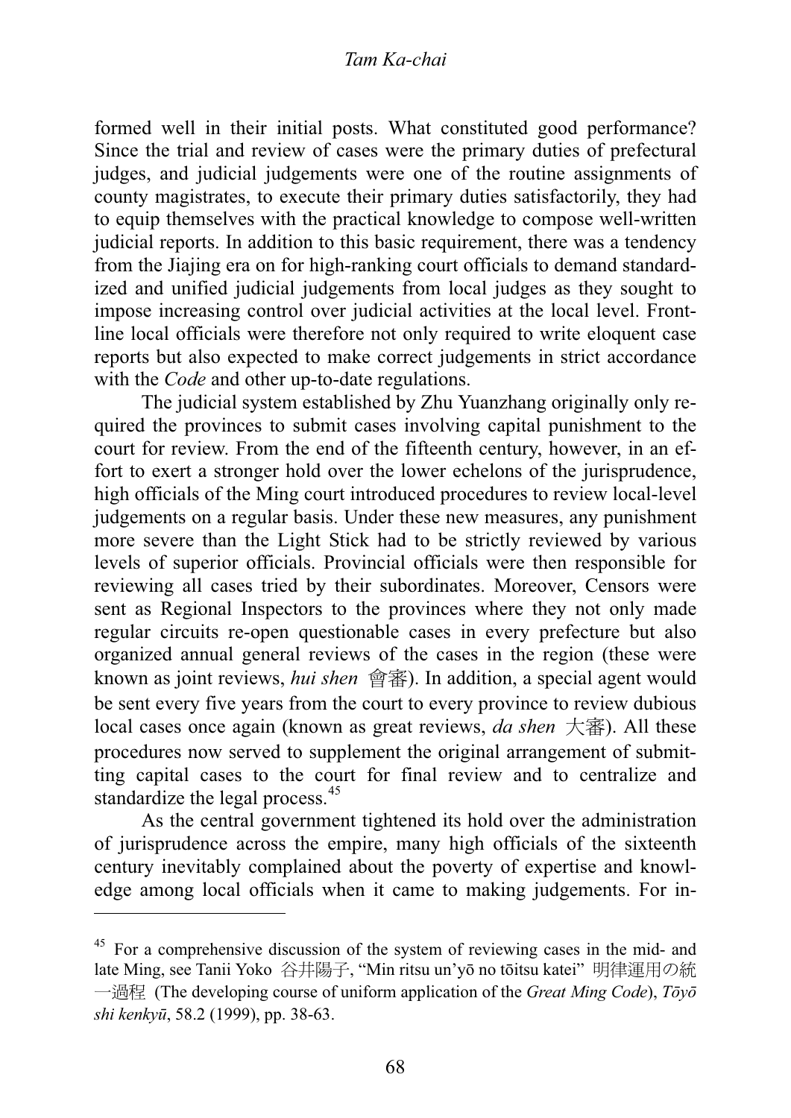#### Tam Ka-chai *Tam Ka-chai*

formed well in their initial posts. What constituted good performance? Since the trial and review of cases were the primary duties of prefectural judges, and judicial judgements were one of the routine assignments of county magistrates, to execute their primary duties satisfactorily, they had to equip themselves with the practical knowledge to compose well-written judicial reports. In addition to this basic requirement, there was a tendency from the Jiajing era on for high-ranking court officials to demand standardized and unified judicial judgements from local judges as they sought to impose increasing control over judicial activities at the local level. Frontline local officials were therefore not only required to write eloquent case reports but also expected to make correct judgements in strict accordance with the *Code* and other up-to-date regulations.

The judicial system established by Zhu Yuanzhang originally only required the provinces to submit cases involving capital punishment to the court for review. From the end of the fifteenth century, however, in an effort to exert a stronger hold over the lower echelons of the jurisprudence, high officials of the Ming court introduced procedures to review local-level judgements on a regular basis. Under these new measures, any punishment more severe than the Light Stick had to be strictly reviewed by various levels of superior officials. Provincial officials were then responsible for reviewing all cases tried by their subordinates. Moreover, Censors were sent as Regional Inspectors to the provinces where they not only made regular circuits re-open questionable cases in every prefecture but also organized annual general reviews of the cases in the region (these were known as joint reviews, *hui shen* 會審). In addition, a special agent would be sent every five years from the court to every province to review dubious local cases once again (known as great reviews,  $da$  shen  $\overline{\mathcal{R}}$ ). All these procedures now served to supplement the original arrangement of submitting capital cases to the court for final review and to centralize and standardize the legal process.<sup>45</sup>

As the central government tightened its hold over the administration of jurisprudence across the empire, many high officials of the sixteenth century inevitably complained about the poverty of expertise and knowledge among local officials when it came to making judgements. For in-

<sup>&</sup>lt;sup>45</sup> For a comprehensive discussion of the system of reviewing cases in the mid- and late Ming, see Tanii Yoko 谷井陽子, "Min ritsu un'yō no tōitsu katei" 明律運用の統 **→過程** (The developing course of uniform application of the *Great Ming Code*),  $T\bar{o}y\bar{o}$ *shi kenkynj*, 58.2 (1999), pp. 38-63.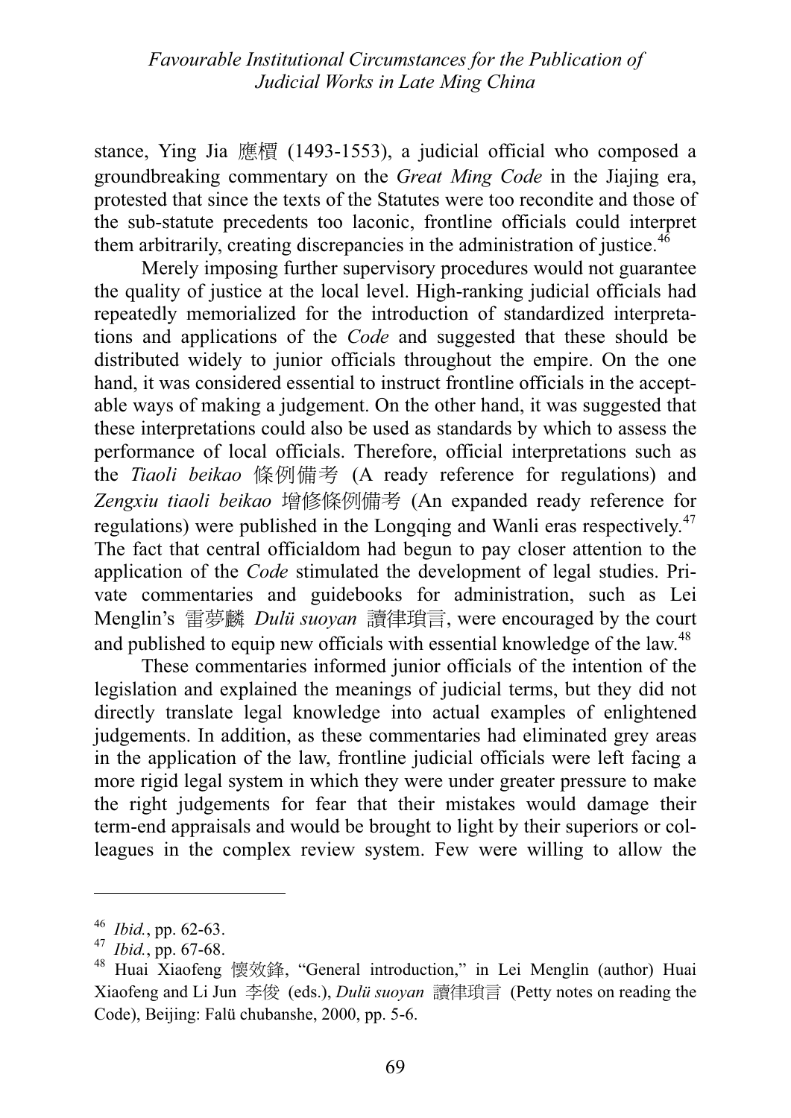stance, Ying Jia 應槽 (1493-1553), a judicial official who composed a groundbreaking commentary on the *Great Ming Code* in the Jiajing era, protested that since the texts of the Statutes were too recondite and those of the sub-statute precedents too laconic, frontline officials could interpret them arbitrarily, creating discrepancies in the administration of justice.<sup>46</sup>

Merely imposing further supervisory procedures would not guarantee the quality of justice at the local level. High-ranking judicial officials had repeatedly memorialized for the introduction of standardized interpretations and applications of the *Code* and suggested that these should be distributed widely to junior officials throughout the empire. On the one hand, it was considered essential to instruct frontline officials in the acceptable ways of making a judgement. On the other hand, it was suggested that these interpretations could also be used as standards by which to assess the performance of local officials. Therefore, official interpretations such as the *Tiaoli beikao* 條例備考 (A ready reference for regulations) and Zengxiu tiaoli beikao 增修條例備考 (An expanded ready reference for regulations) were published in the Longqing and Wanli eras respectively.<sup>47</sup> The fact that central officialdom had begun to pay closer attention to the application of the *Code* stimulated the development of legal studies. Private commentaries and guidebooks for administration, such as Lei Menglin's 雷夢麟 *Dulü suoyan* 讀律瑣言, were encouraged by the court and published to equip new officials with essential knowledge of the law.<sup>48</sup>

These commentaries informed junior officials of the intention of the legislation and explained the meanings of judicial terms, but they did not directly translate legal knowledge into actual examples of enlightened judgements. In addition, as these commentaries had eliminated grey areas in the application of the law, frontline judicial officials were left facing a more rigid legal system in which they were under greater pressure to make the right judgements for fear that their mistakes would damage their term-end appraisals and would be brought to light by their superiors or colleagues in the complex review system. Few were willing to allow the

 $46$  *Ibid.*, pp. 62-63.

<sup>&</sup>lt;sup>46</sup> *Ibid.*, pp. 62-63.<br><sup>47</sup> *Ibid.*, pp. 67-68.<br><sup>48</sup> Huai Xiaofeng

<sup>&</sup>lt;sup>48</sup> Huai Xiaofeng 懷效鋒, "General introduction," in Lei Menglin (author) Huai Xiaofeng and Li Jun 李俊 (eds.), *Dulü suoyan* 讀律瑣言 (Petty notes on reading the Code), Beijing: Falü chubanshe, 2000, pp. 5-6.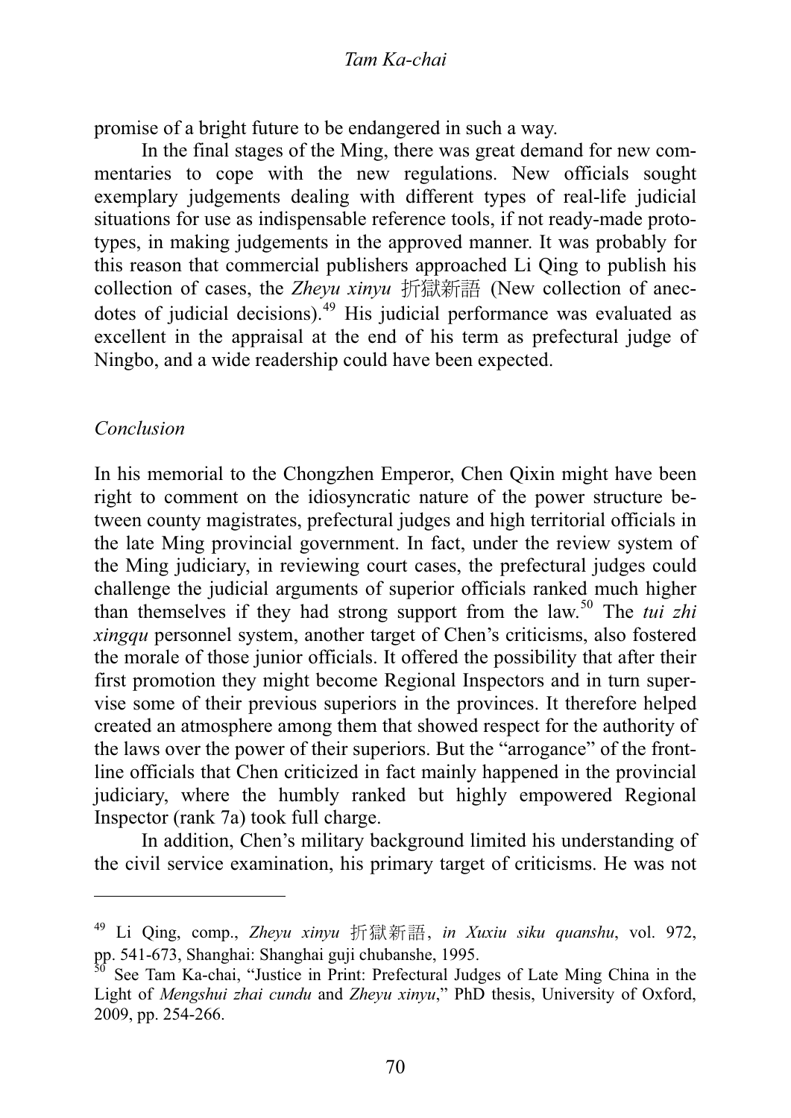promise of a bright future to be endangered in such a way.

In the final stages of the Ming, there was great demand for new commentaries to cope with the new regulations. New officials sought exemplary judgements dealing with different types of real-life judicial situations for use as indispensable reference tools, if not ready-made prototypes, in making judgements in the approved manner. It was probably for this reason that commercial publishers approached Li Qing to publish his collection of cases, the *Zheyu xinyu* 折獄新語 (New collection of anecdotes of judicial decisions).49 His judicial performance was evaluated as excellent in the appraisal at the end of his term as prefectural judge of Ningbo, and a wide readership could have been expected.

#### Conclusion *Conclusion*

In his memorial to the Chongzhen Emperor, Chen Qixin might have been right to comment on the idiosyncratic nature of the power structure between county magistrates, prefectural judges and high territorial officials in the late Ming provincial government. In fact, under the review system of the Ming judiciary, in reviewing court cases, the prefectural judges could challenge the judicial arguments of superior officials ranked much higher than themselves if they had strong support from the law.50 The *tui zhi xingqu* personnel system, another target of Chen's criticisms, also fostered the morale of those junior officials. It offered the possibility that after their first promotion they might become Regional Inspectors and in turn supervise some of their previous superiors in the provinces. It therefore helped created an atmosphere among them that showed respect for the authority of the laws over the power of their superiors. But the "arrogance" of the frontline officials that Chen criticized in fact mainly happened in the provincial judiciary, where the humbly ranked but highly empowered Regional Inspector (rank 7a) took full charge.

In addition, Chen's military background limited his understanding of the civil service examination, his primary target of criticisms. He was not

Li Qing, comp., *Zheyu xinyu* 折獄新語, *in Xuxiu siku quanshu*, vol. 972, pp. 541-673, Shanghai: Shanghai guji chubanshe, 1995.

See Tam Ka-chai, "Justice in Print: Prefectural Judges of Late Ming China in the Light of *Mengshui zhai cundu* and *Zheyu xinyu*," PhD thesis, University of Oxford, 2009, pp. 254-266.